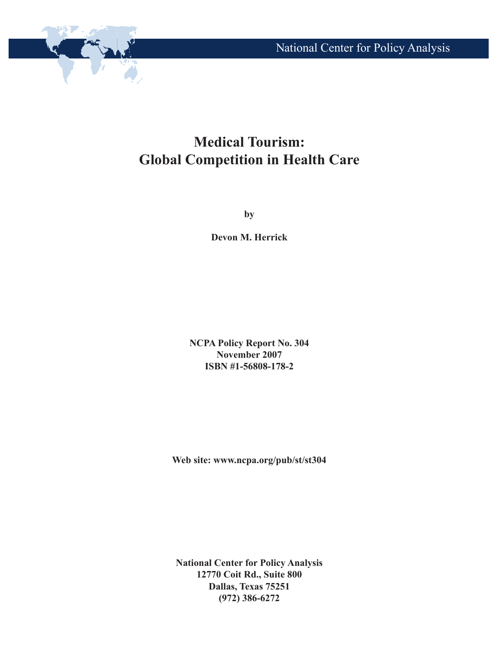

# **Medical Tourism: Global Competition in Health Care**

**by**

**Devon M. Herrick**

**NCPA Policy Report No. 304 November 2007 ISBN #1-56808-178-2**

**Web site: www.ncpa.org/pub/st/st304**

**National Center for Policy Analysis 12770 Coit Rd., Suite 800 Dallas, Texas 75251 (972) 386-6272**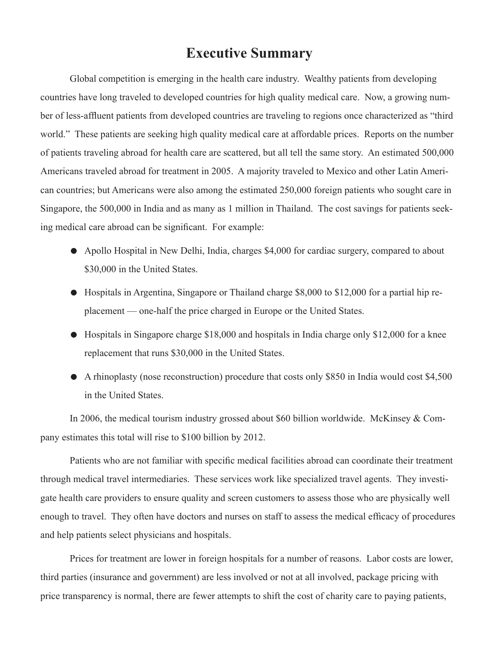### **Executive Summary**

Global competition is emerging in the health care industry. Wealthy patients from developing countries have long traveled to developed countries for high quality medical care. Now, a growing number of less-affluent patients from developed countries are traveling to regions once characterized as "third world." These patients are seeking high quality medical care at affordable prices. Reports on the number of patients traveling abroad for health care are scattered, but all tell the same story. An estimated 500,000 Americans traveled abroad for treatment in 2005. A majority traveled to Mexico and other Latin American countries; but Americans were also among the estimated 250,000 foreign patients who sought care in Singapore, the 500,000 in India and as many as 1 million in Thailand. The cost savings for patients seeking medical care abroad can be significant. For example:

- Apollo Hospital in New Delhi, India, charges \$4,000 for cardiac surgery, compared to about \$30,000 in the United States.
- Hospitals in Argentina, Singapore or Thailand charge \$8,000 to \$12,000 for a partial hip replacement — one-half the price charged in Europe or the United States.
- $\bullet$  Hospitals in Singapore charge \$18,000 and hospitals in India charge only \$12,000 for a knee replacement that runs \$30,000 in the United States.
- $\bullet$  A rhinoplasty (nose reconstruction) procedure that costs only \$850 in India would cost \$4,500 in the United States.

In 2006, the medical tourism industry grossed about \$60 billion worldwide. McKinsey & Company estimates this total will rise to \$100 billion by 2012.

Patients who are not familiar with specific medical facilities abroad can coordinate their treatment through medical travel intermediaries. These services work like specialized travel agents. They investigate health care providers to ensure quality and screen customers to assess those who are physically well enough to travel. They often have doctors and nurses on staff to assess the medical efficacy of procedures and help patients select physicians and hospitals.

Prices for treatment are lower in foreign hospitals for a number of reasons. Labor costs are lower, third parties (insurance and government) are less involved or not at all involved, package pricing with price transparency is normal, there are fewer attempts to shift the cost of charity care to paying patients,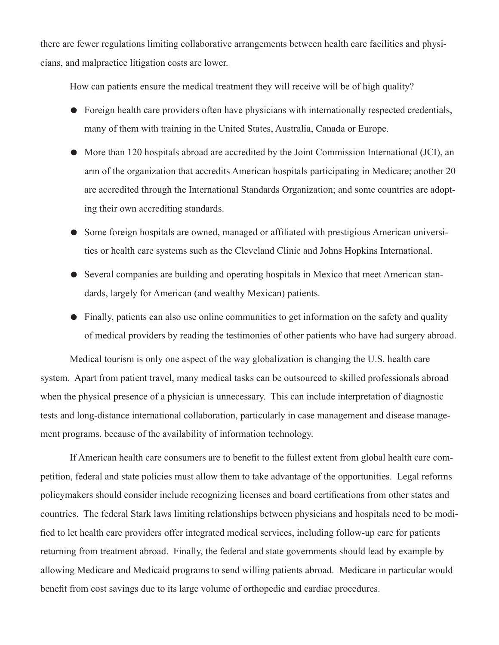there are fewer regulations limiting collaborative arrangements between health care facilities and physicians, and malpractice litigation costs are lower.

How can patients ensure the medical treatment they will receive will be of high quality?

- $\bullet$  Foreign health care providers often have physicians with internationally respected credentials, many of them with training in the United States, Australia, Canada or Europe.
- More than 120 hospitals abroad are accredited by the Joint Commission International (JCI), an arm of the organization that accredits American hospitals participating in Medicare; another 20 are accredited through the International Standards Organization; and some countries are adopting their own accrediting standards.
- Some foreign hospitals are owned, managed or affiliated with prestigious American universities or health care systems such as the Cleveland Clinic and Johns Hopkins International.
- Several companies are building and operating hospitals in Mexico that meet American standards, largely for American (and wealthy Mexican) patients.
- Finally, patients can also use online communities to get information on the safety and quality of medical providers by reading the testimonies of other patients who have had surgery abroad.

Medical tourism is only one aspect of the way globalization is changing the U.S. health care system. Apart from patient travel, many medical tasks can be outsourced to skilled professionals abroad when the physical presence of a physician is unnecessary. This can include interpretation of diagnostic tests and long-distance international collaboration, particularly in case management and disease management programs, because of the availability of information technology.

If American health care consumers are to benefit to the fullest extent from global health care competition, federal and state policies must allow them to take advantage of the opportunities. Legal reforms policymakers should consider include recognizing licenses and board certifications from other states and countries. The federal Stark laws limiting relationships between physicians and hospitals need to be modified to let health care providers offer integrated medical services, including follow-up care for patients returning from treatment abroad. Finally, the federal and state governments should lead by example by allowing Medicare and Medicaid programs to send willing patients abroad. Medicare in particular would benefit from cost savings due to its large volume of orthopedic and cardiac procedures.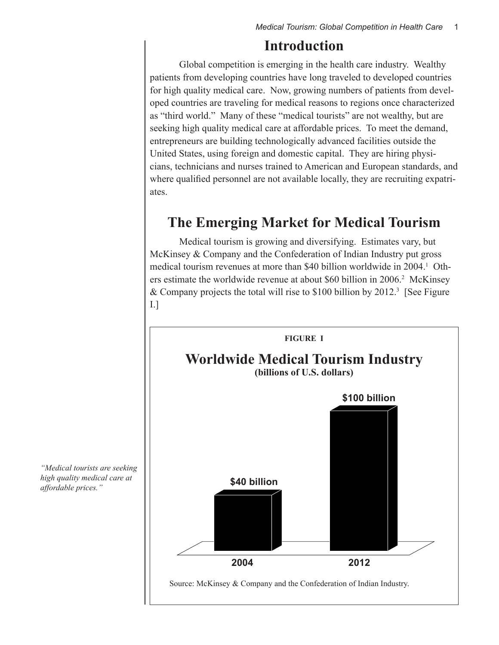### **Introduction**

Global competition is emerging in the health care industry. Wealthy patients from developing countries have long traveled to developed countries for high quality medical care. Now, growing numbers of patients from developed countries are traveling for medical reasons to regions once characterized as "third world." Many of these "medical tourists" are not wealthy, but are seeking high quality medical care at affordable prices. To meet the demand, entrepreneurs are building technologically advanced facilities outside the United States, using foreign and domestic capital. They are hiring physicians, technicians and nurses trained to American and European standards, and where qualified personnel are not available locally, they are recruiting expatriates.

### **The Emerging Market for Medical Tourism**

Medical tourism is growing and diversifying. Estimates vary, but McKinsey & Company and the Confederation of Indian Industry put gross medical tourism revenues at more than \$40 billion worldwide in 2004.<sup>1</sup> Others estimate the worldwide revenue at about \$60 billion in 2006.<sup>2</sup> McKinsey & Company projects the total will rise to \$100 billion by 2012.<sup>3</sup> [See Figure I.]



*"Medical tourists are seeking high quality medical care at affordable prices."*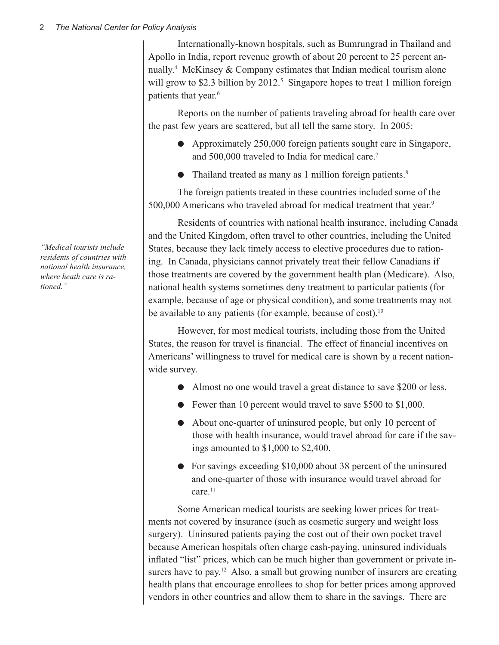Internationally-known hospitals, such as Bumrungrad in Thailand and Apollo in India, report revenue growth of about 20 percent to 25 percent annually.4 McKinsey & Company estimates that Indian medical tourism alone will grow to \$2.3 billion by 2012.<sup>5</sup> Singapore hopes to treat 1 million foreign patients that year.<sup>6</sup>

Reports on the number of patients traveling abroad for health care over the past few years are scattered, but all tell the same story. In 2005:

- Approximately  $250,000$  foreign patients sought care in Singapore, and 500,000 traveled to India for medical care.<sup>7</sup>
- Thailand treated as many as 1 million foreign patients.<sup>8</sup>

The foreign patients treated in these countries included some of the 500,000 Americans who traveled abroad for medical treatment that year.<sup>9</sup>

Residents of countries with national health insurance, including Canada and the United Kingdom, often travel to other countries, including the United States, because they lack timely access to elective procedures due to rationing. In Canada, physicians cannot privately treat their fellow Canadians if those treatments are covered by the government health plan (Medicare). Also, national health systems sometimes deny treatment to particular patients (for example, because of age or physical condition), and some treatments may not be available to any patients (for example, because of cost).<sup>10</sup>

However, for most medical tourists, including those from the United States, the reason for travel is financial. The effect of financial incentives on Americans' willingness to travel for medical care is shown by a recent nationwide survey.

- Almost no one would travel a great distance to save \$200 or less.
- $\bullet$  Fewer than 10 percent would travel to save \$500 to \$1,000.
- About one-quarter of uninsured people, but only 10 percent of those with health insurance, would travel abroad for care if the savings amounted to \$1,000 to \$2,400.
- For savings exceeding \$10,000 about 38 percent of the uninsured and one-quarter of those with insurance would travel abroad for care.<sup>11</sup>

Some American medical tourists are seeking lower prices for treatments not covered by insurance (such as cosmetic surgery and weight loss surgery). Uninsured patients paying the cost out of their own pocket travel because American hospitals often charge cash-paying, uninsured individuals inflated "list" prices, which can be much higher than government or private insurers have to pay.<sup>12</sup> Also, a small but growing number of insurers are creating health plans that encourage enrollees to shop for better prices among approved vendors in other countries and allow them to share in the savings. There are

*"Medical tourists include residents of countries with national health insurance, where heath care is rationed."*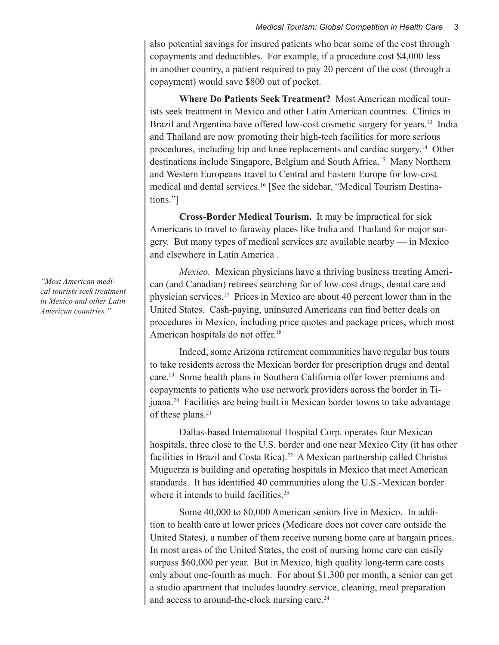also potential savings for insured patients who bear some of the cost through copayments and deductibles. For example, if a procedure cost \$4,000 less in another country, a patient required to pay 20 percent of the cost (through a copayment) would save \$800 out of pocket.

**Where Do Patients Seek Treatment?** Most American medical tourists seek treatment in Mexico and other Latin American countries. Clinics in Brazil and Argentina have offered low-cost cosmetic surgery for years.<sup>13</sup> India and Thailand are now promoting their high-tech facilities for more serious procedures, including hip and knee replacements and cardiac surgery.14 Other destinations include Singapore, Belgium and South Africa.15 Many Northern and Western Europeans travel to Central and Eastern Europe for low-cost medical and dental services.16 [See the sidebar, "Medical Tourism Destinations."]

**Cross-Border Medical Tourism.** It may be impractical for sick Americans to travel to faraway places like India and Thailand for major surgery. But many types of medical services are available nearby — in Mexico and elsewhere in Latin America .

*Mexico.* Mexican physicians have a thriving business treating American (and Canadian) retirees searching for of low-cost drugs, dental care and physician services.17 Prices in Mexico are about 40 percent lower than in the United States. Cash-paying, uninsured Americans can find better deals on procedures in Mexico, including price quotes and package prices, which most American hospitals do not offer.<sup>18</sup>

Indeed, some Arizona retirement communities have regular bus tours to take residents across the Mexican border for prescription drugs and dental care.19 Some health plans in Southern California offer lower premiums and copayments to patients who use network providers across the border in Tijuana.20 Facilities are being built in Mexican border towns to take advantage of these plans.<sup>21</sup>

Dallas-based International Hospital Corp. operates four Mexican hospitals, three close to the U.S. border and one near Mexico City (it has other facilities in Brazil and Costa Rica).<sup>22</sup> A Mexican partnership called Christus Muguerza is building and operating hospitals in Mexico that meet American standards. It has identified 40 communities along the U.S.-Mexican border where it intends to build facilities.<sup>23</sup>

Some 40,000 to 80,000 American seniors live in Mexico. In addition to health care at lower prices (Medicare does not cover care outside the United States), a number of them receive nursing home care at bargain prices. In most areas of the United States, the cost of nursing home care can easily surpass \$60,000 per year. But in Mexico, high quality long-term care costs only about one-fourth as much. For about \$1,300 per month, a senior can get a studio apartment that includes laundry service, cleaning, meal preparation and access to around-the-clock nursing care.<sup>24</sup>

*"Most American medical tourists seek treatment in Mexico and other Latin American countries."*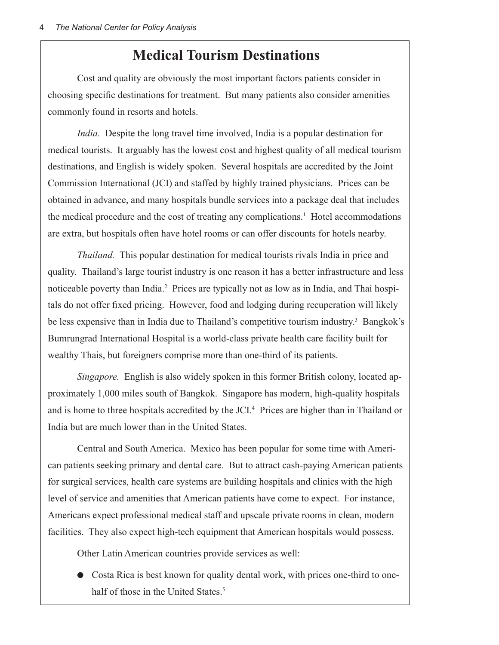### **Medical Tourism Destinations**

Cost and quality are obviously the most important factors patients consider in choosing specific destinations for treatment. But many patients also consider amenities commonly found in resorts and hotels.

*India.* Despite the long travel time involved, India is a popular destination for medical tourists. It arguably has the lowest cost and highest quality of all medical tourism destinations, and English is widely spoken. Several hospitals are accredited by the Joint Commission International (JCI) and staffed by highly trained physicians. Prices can be obtained in advance, and many hospitals bundle services into a package deal that includes the medical procedure and the cost of treating any complications.<sup>1</sup> Hotel accommodations are extra, but hospitals often have hotel rooms or can offer discounts for hotels nearby.

*Thailand.* This popular destination for medical tourists rivals India in price and quality. Thailand's large tourist industry is one reason it has a better infrastructure and less noticeable poverty than India.<sup>2</sup> Prices are typically not as low as in India, and Thai hospitals do not offer fixed pricing. However, food and lodging during recuperation will likely be less expensive than in India due to Thailand's competitive tourism industry.<sup>3</sup> Bangkok's Bumrungrad International Hospital is a world-class private health care facility built for wealthy Thais, but foreigners comprise more than one-third of its patients.

*Singapore.* English is also widely spoken in this former British colony, located approximately 1,000 miles south of Bangkok. Singapore has modern, high-quality hospitals and is home to three hospitals accredited by the JCI.<sup>4</sup> Prices are higher than in Thailand or India but are much lower than in the United States.

Central and South America. Mexico has been popular for some time with American patients seeking primary and dental care. But to attract cash-paying American patients for surgical services, health care systems are building hospitals and clinics with the high level of service and amenities that American patients have come to expect. For instance, Americans expect professional medical staff and upscale private rooms in clean, modern facilities. They also expect high-tech equipment that American hospitals would possess.

Other Latin American countries provide services as well:

• Costa Rica is best known for quality dental work, with prices one-third to onehalf of those in the United States.<sup>5</sup>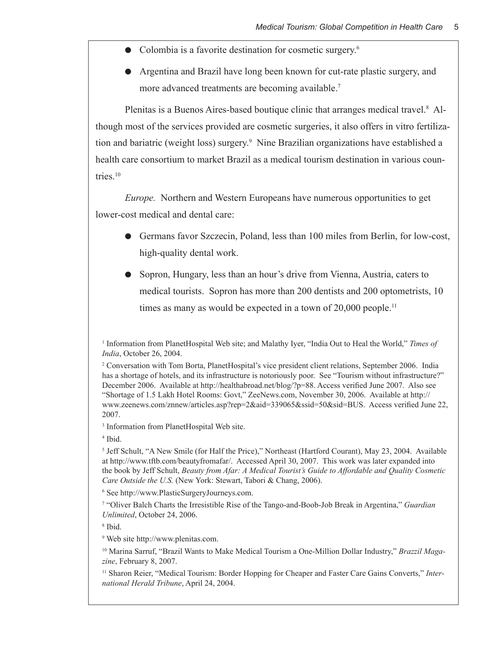- $\bullet$  Colombia is a favorite destination for cosmetic surgery.<sup>6</sup>
- Argentina and Brazil have long been known for cut-rate plastic surgery, and more advanced treatments are becoming available.<sup>7</sup>

Plenitas is a Buenos Aires-based boutique clinic that arranges medical travel.<sup>8</sup> Although most of the services provided are cosmetic surgeries, it also offers in vitro fertilization and bariatric (weight loss) surgery.<sup>9</sup> Nine Brazilian organizations have established a health care consortium to market Brazil as a medical tourism destination in various countries.10

*Europe.* Northern and Western Europeans have numerous opportunities to get lower-cost medical and dental care:

- **I.** Germans favor Szczecin, Poland, less than 100 miles from Berlin, for low-cost, high-quality dental work.
- Sopron, Hungary, less than an hour's drive from Vienna, Austria, caters to medical tourists. Sopron has more than 200 dentists and 200 optometrists, 10 times as many as would be expected in a town of  $20,000$  people.<sup>11</sup>

3 Information from PlanetHospital Web site.

4 Ibid.

6 See http://www.PlasticSurgeryJourneys.com.

7 "Oliver Balch Charts the Irresistible Rise of the Tango-and-Boob-Job Break in Argentina," *Guardian Unlimited*, October 24, 2006.

8 Ibid.

9 Web site http://www.plenitas.com.

<sup>10</sup> Marina Sarruf, "Brazil Wants to Make Medical Tourism a One-Million Dollar Industry," *Brazzil Magazine*, February 8, 2007.

<sup>11</sup> Sharon Reier, "Medical Tourism: Border Hopping for Cheaper and Faster Care Gains Converts," Inter*national Herald Tribune*, April 24, 2004.

<sup>1</sup> Information from PlanetHospital Web site; and Malathy Iyer, "India Out to Heal the World," *Times of India*, October 26, 2004.

<sup>2</sup> Conversation with Tom Borta, PlanetHospital's vice president client relations, September 2006. India has a shortage of hotels, and its infrastructure is notoriously poor. See "Tourism without infrastructure?" December 2006. Available at http://healthabroad.net/blog/?p=88. Access verified June 2007. Also see "Shortage of 1.5 Lakh Hotel Rooms: Govt," ZeeNews.com, November 30, 2006. Available at http:// www.zeenews.com/znnew/articles.asp?rep=2&aid=339065&ssid=50&sid=BUS. Access verified June 22, 2007.

<sup>5</sup> Jeff Schult, "A New Smile (for Half the Price)," Northeast (Hartford Courant), May 23, 2004. Available at http://www.tftb.com/beautyfromafar/. Accessed April 30, 2007. This work was later expanded into the book by Jeff Schult, *Beauty from Afar: A Medical Tourist's Guide to Affordable and Quality Cosmetic Care Outside the U.S.* (New York: Stewart, Tabori & Chang, 2006).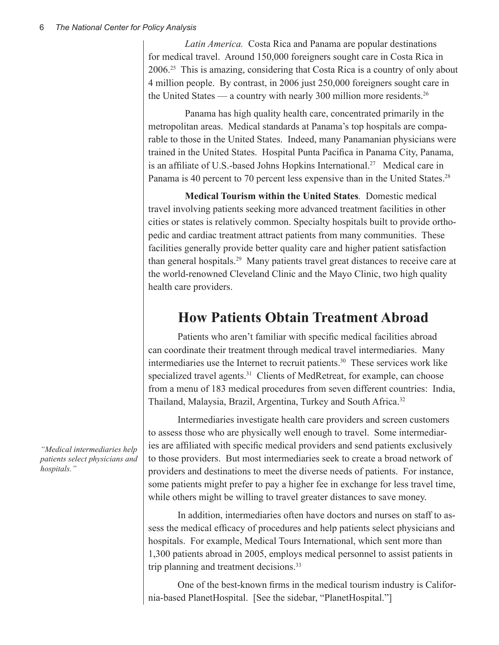*Latin America.* Costa Rica and Panama are popular destinations for medical travel. Around 150,000 foreigners sought care in Costa Rica in 2006.25 This is amazing, considering that Costa Rica is a country of only about 4 million people. By contrast, in 2006 just 250,000 foreigners sought care in the United States — a country with nearly 300 million more residents.<sup>26</sup>

Panama has high quality health care, concentrated primarily in the metropolitan areas. Medical standards at Panama's top hospitals are comparable to those in the United States. Indeed, many Panamanian physicians were trained in the United States. Hospital Punta Pacifica in Panama City, Panama, is an affiliate of U.S.-based Johns Hopkins International.<sup>27</sup> Medical care in Panama is 40 percent to 70 percent less expensive than in the United States.<sup>28</sup>

**Medical Tourism within the United States***.* Domestic medical travel involving patients seeking more advanced treatment facilities in other cities or states is relatively common. Specialty hospitals built to provide orthopedic and cardiac treatment attract patients from many communities. These facilities generally provide better quality care and higher patient satisfaction than general hospitals.29 Many patients travel great distances to receive care at the world-renowned Cleveland Clinic and the Mayo Clinic, two high quality health care providers.

## **How Patients Obtain Treatment Abroad**

Patients who aren't familiar with specific medical facilities abroad can coordinate their treatment through medical travel intermediaries. Many intermediaries use the Internet to recruit patients.30 These services work like specialized travel agents.<sup>31</sup> Clients of MedRetreat, for example, can choose from a menu of 183 medical procedures from seven different countries: India, Thailand, Malaysia, Brazil, Argentina, Turkey and South Africa.<sup>32</sup>

Intermediaries investigate health care providers and screen customers to assess those who are physically well enough to travel. Some intermediaries are affiliated with specific medical providers and send patients exclusively to those providers. But most intermediaries seek to create a broad network of providers and destinations to meet the diverse needs of patients. For instance, some patients might prefer to pay a higher fee in exchange for less travel time, while others might be willing to travel greater distances to save money.

In addition, intermediaries often have doctors and nurses on staff to assess the medical efficacy of procedures and help patients select physicians and hospitals. For example, Medical Tours International, which sent more than 1,300 patients abroad in 2005, employs medical personnel to assist patients in trip planning and treatment decisions.<sup>33</sup>

One of the best-known firms in the medical tourism industry is California-based PlanetHospital. [See the sidebar, "PlanetHospital."]

*"Medical intermediaries help patients select physicians and hospitals."*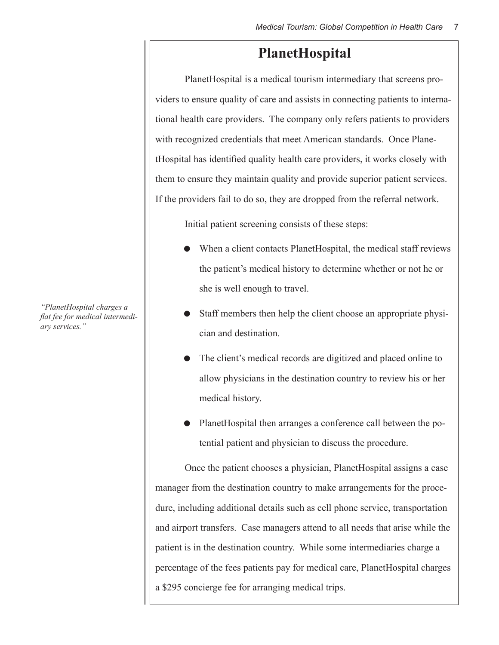### **PlanetHospital**

PlanetHospital is a medical tourism intermediary that screens providers to ensure quality of care and assists in connecting patients to international health care providers. The company only refers patients to providers with recognized credentials that meet American standards. Once PlanetHospital has identified quality health care providers, it works closely with them to ensure they maintain quality and provide superior patient services. If the providers fail to do so, they are dropped from the referral network.

Initial patient screening consists of these steps:

- When a client contacts PlanetHospital, the medical staff reviews the patient's medical history to determine whether or not he or she is well enough to travel.
- Staff members then help the client choose an appropriate physician and destination.
- The client's medical records are digitized and placed online to allow physicians in the destination country to review his or her medical history.
- PlanetHospital then arranges a conference call between the potential patient and physician to discuss the procedure.

Once the patient chooses a physician, PlanetHospital assigns a case manager from the destination country to make arrangements for the procedure, including additional details such as cell phone service, transportation and airport transfers. Case managers attend to all needs that arise while the patient is in the destination country. While some intermediaries charge a percentage of the fees patients pay for medical care, PlanetHospital charges a \$295 concierge fee for arranging medical trips.

*"PlanetHospital charges a flat fee for medical intermediary services."*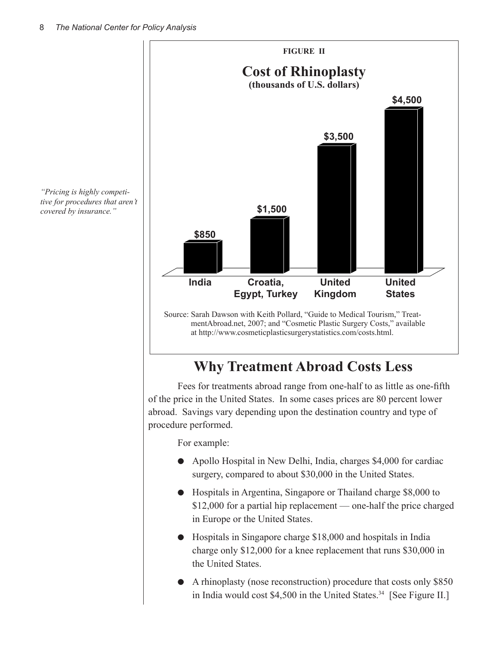

# **Why Treatment Abroad Costs Less**

Fees for treatments abroad range from one-half to as little as one-fifth of the price in the United States. In some cases prices are 80 percent lower abroad.Savings vary depending upon the destination country and type of procedure performed.

For example:

- Apollo Hospital in New Delhi, India, charges \$4,000 for cardiac surgery, compared to about \$30,000 in the United States.
- **•** Hospitals in Argentina, Singapore or Thailand charge \$8,000 to \$12,000 for a partial hip replacement — one-half the price charged in Europe or the United States.
- Hospitals in Singapore charge \$18,000 and hospitals in India charge only \$12,000 for a knee replacement that runs \$30,000 in the United States.
- l A rhinoplasty (nose reconstruction) procedure that costs only \$850 in India would cost \$4,500 in the United States.<sup>34</sup> [See Figure II.]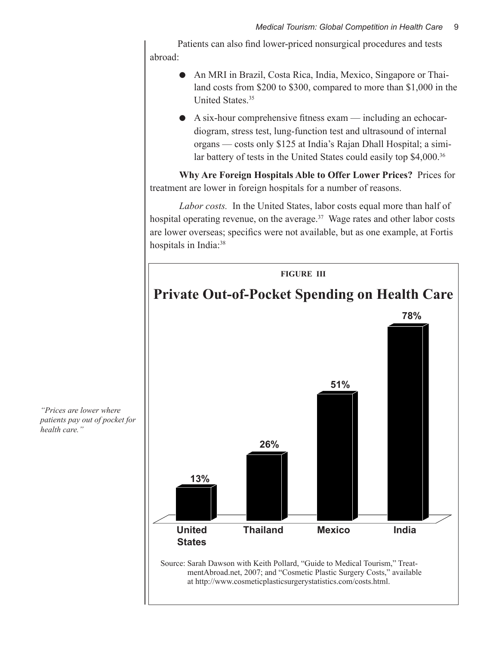Patients can also find lower-priced nonsurgical procedures and tests abroad:

- An MRI in Brazil, Costa Rica, India, Mexico, Singapore or Thailand costs from \$200 to \$300, compared to more than \$1,000 in the United States.35
- $\bullet$  A six-hour comprehensive fitness exam including an echocardiogram, stress test, lung-function test and ultrasound of internal organs — costs only \$125 at India's Rajan Dhall Hospital; a similar battery of tests in the United States could easily top \$4,000.<sup>36</sup>

**Why Are Foreign Hospitals Able to Offer Lower Prices?** Prices for treatment are lower in foreign hospitals for a number of reasons.

*Labor costs.* In the United States, labor costs equal more than half of hospital operating revenue, on the average. $37$  Wage rates and other labor costs are lower overseas; specifics were not available, but as one example, at Fortis hospitals in India:<sup>38</sup>



*"Prices are lower where patients pay out of pocket for health care."*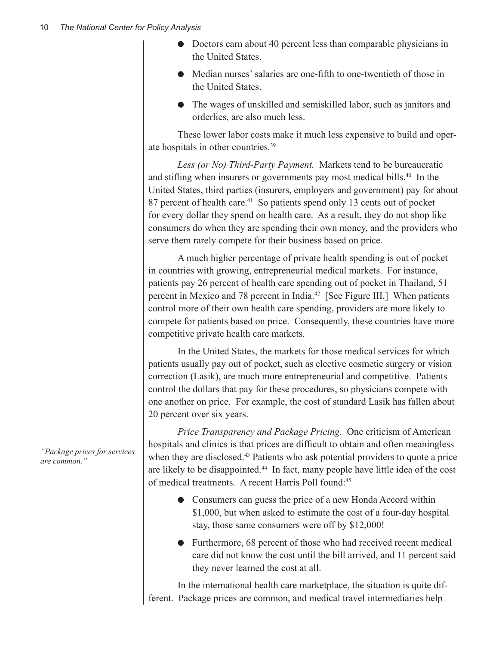- Doctors earn about 40 percent less than comparable physicians in the United States.
- Median nurses' salaries are one-fifth to one-twentieth of those in the United States.
- The wages of unskilled and semiskilled labor, such as janitors and orderlies, are also much less.

These lower labor costs make it much less expensive to build and operate hospitals in other countries.39

*Less (or No) Third-Party Payment.* Markets tend to be bureaucratic and stifling when insurers or governments pay most medical bills.<sup>40</sup> In the United States, third parties (insurers, employers and government) pay for about 87 percent of health care.<sup>41</sup> So patients spend only 13 cents out of pocket for every dollar they spend on health care. As a result, they do not shop like consumers do when they are spending their own money, and the providers who serve them rarely compete for their business based on price.

A much higher percentage of private health spending is out of pocket in countries with growing, entrepreneurial medical markets. For instance, patients pay 26 percent of health care spending out of pocket in Thailand, 51 percent in Mexico and 78 percent in India.42 [See Figure III.] When patients control more of their own health care spending, providers are more likely to compete for patients based on price. Consequently, these countries have more competitive private health care markets.

In the United States, the markets for those medical services for which patients usually pay out of pocket, such as elective cosmetic surgery or vision correction (Lasik), are much more entrepreneurial and competitive. Patients control the dollars that pay for these procedures, so physicians compete with one another on price. For example, the cost of standard Lasik has fallen about 20 percent over six years.

*Price Transparency and Package Pricing*. One criticism of American hospitals and clinics is that prices are difficult to obtain and often meaningless when they are disclosed.<sup>43</sup> Patients who ask potential providers to quote a price are likely to be disappointed.<sup>44</sup> In fact, many people have little idea of the cost of medical treatments. A recent Harris Poll found:<sup>45</sup>

- Consumers can guess the price of a new Honda Accord within \$1,000, but when asked to estimate the cost of a four-day hospital stay, those same consumers were off by \$12,000!
- $\bullet$  Furthermore, 68 percent of those who had received recent medical care did not know the cost until the bill arrived, and 11 percent said they never learned the cost at all.

In the international health care marketplace, the situation is quite different. Package prices are common, and medical travel intermediaries help

*"Package prices for services are common."*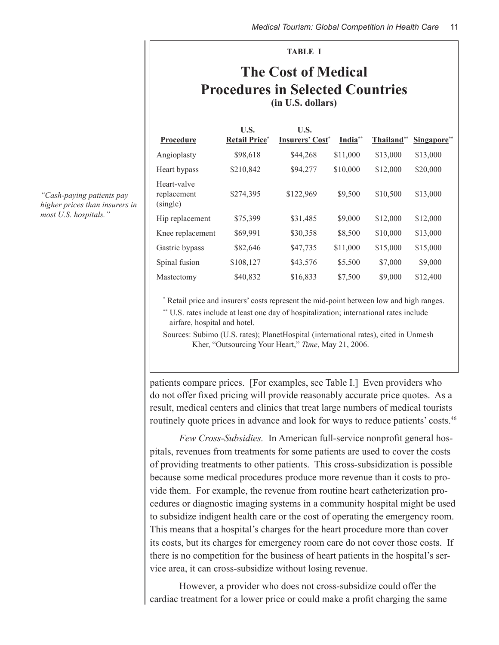# **The Cost of Medical Procedures in Selected Countries (in U.S. dollars)**

**TABLE I**

| Procedure                              | U.S.<br><b>Retail Price</b> * | U.S.<br><b>Insurers' Cost*</b> | India <sup>**</sup> | Thailand** | Singapore** |
|----------------------------------------|-------------------------------|--------------------------------|---------------------|------------|-------------|
| Angioplasty                            | \$98,618                      | \$44,268                       | \$11,000            | \$13,000   | \$13,000    |
| Heart bypass                           | \$210,842                     | \$94,277                       | \$10,000            | \$12,000   | \$20,000    |
| Heart-valve<br>replacement<br>(single) | \$274,395                     | \$122,969                      | \$9,500             | \$10,500   | \$13,000    |
| Hip replacement                        | \$75,399                      | \$31,485                       | \$9,000             | \$12,000   | \$12,000    |
| Knee replacement                       | \$69,991                      | \$30,358                       | \$8,500             | \$10,000   | \$13,000    |
| Gastric bypass                         | \$82,646                      | \$47,735                       | \$11,000            | \$15,000   | \$15,000    |
| Spinal fusion                          | \$108,127                     | \$43,576                       | \$5,500             | \$7,000    | \$9,000     |
| Mastectomy                             | \$40,832                      | \$16,833                       | \$7,500             | \$9,000    | \$12,400    |

*"Cash-paying patients pay higher prices than insurers in most U.S. hospitals."*

\* Retail price and insurers' costs represent the mid-point between low and high ranges.

\*\* U.S. rates include at least one day of hospitalization; international rates include airfare, hospital and hotel.

Sources: Subimo (U.S. rates); PlanetHospital (international rates), cited in Unmesh Kher, "Outsourcing Your Heart," *Time*, May 21, 2006.

patients compare prices. [For examples, see Table I.] Even providers who do not offer fixed pricing will provide reasonably accurate price quotes. As a result, medical centers and clinics that treat large numbers of medical tourists routinely quote prices in advance and look for ways to reduce patients' costs.<sup>46</sup>

*Few Cross-Subsidies.* In American full-service nonprofit general hospitals, revenues from treatments for some patients are used to cover the costs of providing treatments to other patients. This cross-subsidization is possible because some medical procedures produce more revenue than it costs to provide them. For example, the revenue from routine heart catheterization procedures or diagnostic imaging systems in a community hospital might be used to subsidize indigent health care or the cost of operating the emergency room. This means that a hospital's charges for the heart procedure more than cover its costs, but its charges for emergency room care do not cover those costs. If there is no competition for the business of heart patients in the hospital's service area, it can cross-subsidize without losing revenue.

However, a provider who does not cross-subsidize could offer the cardiac treatment for a lower price or could make a profit charging the same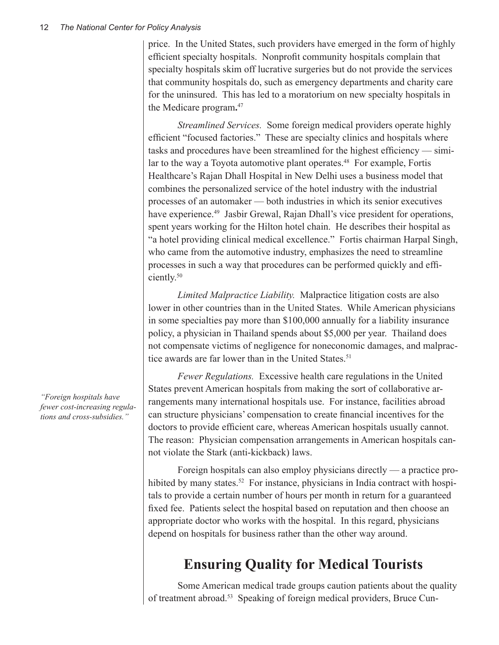price. In the United States, such providers have emerged in the form of highly efficient specialty hospitals. Nonprofit community hospitals complain that specialty hospitals skim off lucrative surgeries but do not provide the services that community hospitals do, such as emergency departments and charity care for the uninsured. This has led to a moratorium on new specialty hospitals in the Medicare program**.** 47

*Streamlined Services.* Some foreign medical providers operate highly efficient "focused factories." These are specialty clinics and hospitals where tasks and procedures have been streamlined for the highest efficiency — similar to the way a Toyota automotive plant operates.<sup>48</sup> For example, Fortis Healthcare's Rajan Dhall Hospital in New Delhi uses a business model that combines the personalized service of the hotel industry with the industrial processes of an automaker — both industries in which its senior executives have experience.<sup>49</sup> Jasbir Grewal, Rajan Dhall's vice president for operations, spent years working for the Hilton hotel chain. He describes their hospital as "a hotel providing clinical medical excellence." Fortis chairman Harpal Singh, who came from the automotive industry, emphasizes the need to streamline processes in such a way that procedures can be performed quickly and efficiently.50

*Limited Malpractice Liability.* Malpractice litigation costs are also lower in other countries than in the United States. While American physicians in some specialties pay more than \$100,000 annually for a liability insurance policy, a physician in Thailand spends about \$5,000 per year. Thailand does not compensate victims of negligence for noneconomic damages, and malpractice awards are far lower than in the United States.<sup>51</sup>

*Fewer Regulations.* Excessive health care regulations in the United States prevent American hospitals from making the sort of collaborative arrangements many international hospitals use. For instance, facilities abroad can structure physicians' compensation to create financial incentives for the doctors to provide efficient care, whereas American hospitals usually cannot. The reason: Physician compensation arrangements in American hospitals cannot violate the Stark (anti-kickback) laws.

Foreign hospitals can also employ physicians directly — a practice prohibited by many states.<sup>52</sup> For instance, physicians in India contract with hospitals to provide a certain number of hours per month in return for a guaranteed fixed fee. Patients select the hospital based on reputation and then choose an appropriate doctor who works with the hospital. In this regard, physicians depend on hospitals for business rather than the other way around.

# **Ensuring Quality for Medical Tourists**

Some American medical trade groups caution patients about the quality of treatment abroad.53 Speaking of foreign medical providers, Bruce Cun-

*"Foreign hospitals have fewer cost-increasing regulations and cross-subsidies."*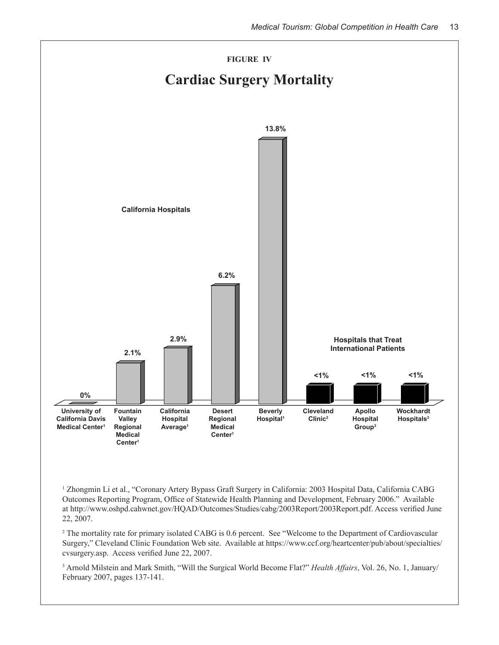

1 Zhongmin Li et al., "Coronary Artery Bypass Graft Surgery in California: 2003 Hospital Data, California CABG Outcomes Reporting Program, Office of Statewide Health Planning and Development, February 2006." Available at http://www.oshpd.cahwnet.gov/HQAD/Outcomes/Studies/cabg/2003Report/2003Report.pdf. Access verified June 22, 2007.

<sup>2</sup> The mortality rate for primary isolated CABG is 0.6 percent. See "Welcome to the Department of Cardiovascular Surgery," Cleveland Clinic Foundation Web site. Available at https://www.ccf.org/heartcenter/pub/about/specialties/ cvsurgery.asp. Access verified June 22, 2007.

3 Arnold Milstein and Mark Smith, "Will the Surgical World Become Flat?" *Health Affairs*, Vol. 26, No. 1, January/ February 2007, pages 137-141.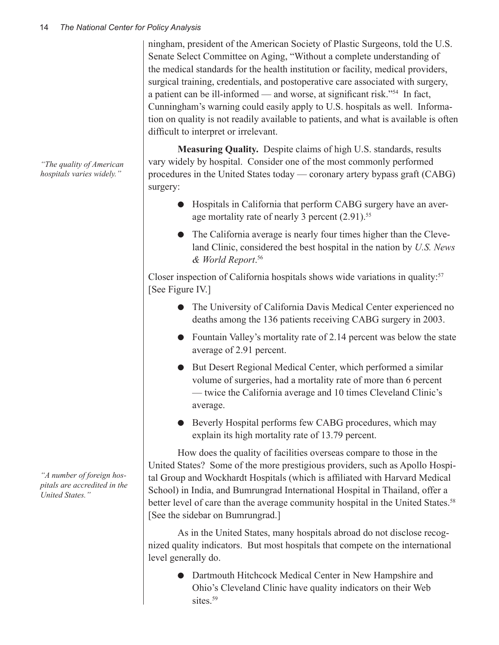ningham, president of the American Society of Plastic Surgeons, told the U.S. Senate Select Committee on Aging, "Without a complete understanding of the medical standards for the health institution or facility, medical providers, surgical training, credentials, and postoperative care associated with surgery, a patient can be ill-informed — and worse, at significant risk."54 In fact, Cunningham's warning could easily apply to U.S. hospitals as well. Information on quality is not readily available to patients, and what is available is often difficult to interpret or irrelevant.

**Measuring Quality.** Despite claims of high U.S. standards, results vary widely by hospital. Consider one of the most commonly performed procedures in the United States today — coronary artery bypass graft (CABG) surgery:

- l Hospitals in California that perform CABG surgery have an average mortality rate of nearly 3 percent  $(2.91)$ .<sup>55</sup>
- $\bullet$  The California average is nearly four times higher than the Cleveland Clinic, considered the best hospital in the nation by *U.S. News & World Report*. 56

Closer inspection of California hospitals shows wide variations in quality:<sup>57</sup> [See Figure IV.]

- The University of California Davis Medical Center experienced no deaths among the 136 patients receiving CABG surgery in 2003.
- $\bullet$  Fountain Valley's mortality rate of 2.14 percent was below the state average of 2.91 percent.
- $\bullet$  But Desert Regional Medical Center, which performed a similar volume of surgeries, had a mortality rate of more than 6 percent — twice the California average and 10 times Cleveland Clinic's average.
- **•** Beverly Hospital performs few CABG procedures, which may explain its high mortality rate of 13.79 percent.

How does the quality of facilities overseas compare to those in the United States? Some of the more prestigious providers, such as Apollo Hospital Group and Wockhardt Hospitals (which is affiliated with Harvard Medical School) in India, and Bumrungrad International Hospital in Thailand, offer a better level of care than the average community hospital in the United States.<sup>58</sup> [See the sidebar on Bumrungrad.]

As in the United States, many hospitals abroad do not disclose recognized quality indicators. But most hospitals that compete on the international level generally do.

**• Dartmouth Hitchcock Medical Center in New Hampshire and** Ohio's Cleveland Clinic have quality indicators on their Web sites.<sup>59</sup>

*"The quality of American hospitals varies widely."*

*"A number of foreign hospitals are accredited in the United States."*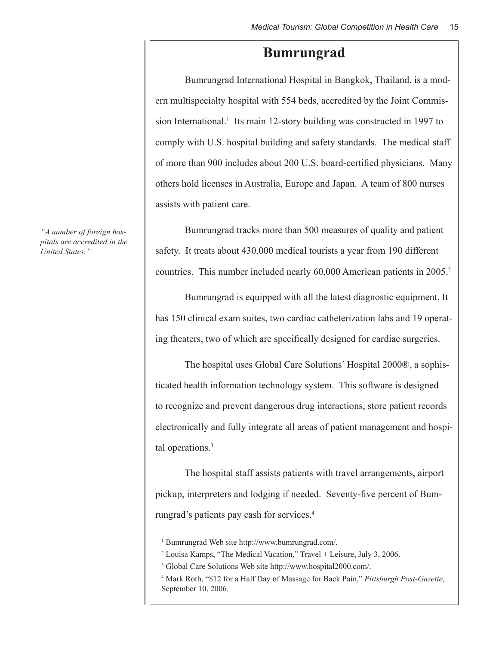### **Bumrungrad**

Bumrungrad International Hospital in Bangkok, Thailand, is a modern multispecialty hospital with 554 beds, accredited by the Joint Commission International.<sup>1</sup> Its main 12-story building was constructed in 1997 to comply with U.S. hospital building and safety standards. The medical staff of more than 900 includes about 200 U.S. board-certified physicians. Many others hold licenses in Australia, Europe and Japan. A team of 800 nurses assists with patient care.

Bumrungrad tracks more than 500 measures of quality and patient safety. It treats about 430,000 medical tourists a year from 190 different countries. This number included nearly 60,000 American patients in 2005.<sup>2</sup>

Bumrungrad is equipped with all the latest diagnostic equipment. It has 150 clinical exam suites, two cardiac catheterization labs and 19 operating theaters, two of which are specifically designed for cardiac surgeries.

The hospital uses Global Care Solutions' Hospital 2000®, a sophisticated health information technology system. This software is designed to recognize and prevent dangerous drug interactions, store patient records electronically and fully integrate all areas of patient management and hospital operations.<sup>3</sup>

The hospital staff assists patients with travel arrangements, airport pickup, interpreters and lodging if needed. Seventy-five percent of Bumrungrad's patients pay cash for services.4

1 Bumrungrad Web site http://www.bumrungrad.com/.

- 2 Louisa Kamps, "The Medical Vacation," Travel + Leisure, July 3, 2006.
- 3 Global Care Solutions Web site http://www.hospital2000.com/.
- 4 Mark Roth, "\$12 for a Half Day of Massage for Back Pain," *Pittsburgh Post-Gazette*, September 10, 2006.

*"A number of foreign hospitals are accredited in the United States."*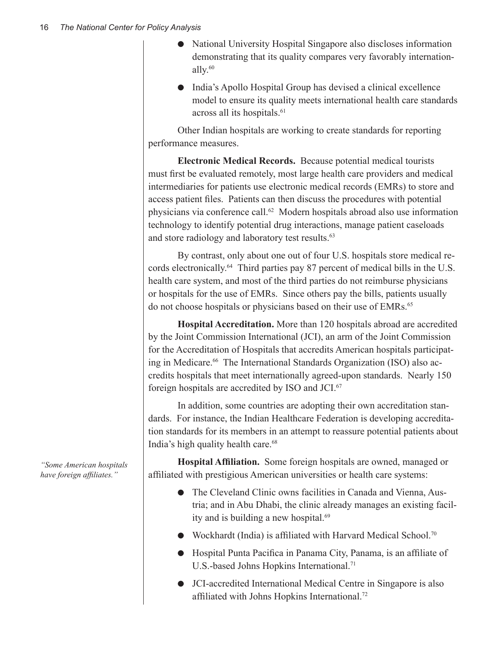- l National University Hospital Singapore also discloses information demonstrating that its quality compares very favorably internationally.60
- l India's Apollo Hospital Group has devised a clinical excellence model to ensure its quality meets international health care standards across all its hospitals.<sup>61</sup>

Other Indian hospitals are working to create standards for reporting performance measures.

**Electronic Medical Records.** Because potential medical tourists must first be evaluated remotely, most large health care providers and medical intermediaries for patients use electronic medical records (EMRs) to store and access patient files. Patients can then discuss the procedures with potential physicians via conference call.62 Modern hospitals abroad also use information technology to identify potential drug interactions, manage patient caseloads and store radiology and laboratory test results.<sup>63</sup>

By contrast, only about one out of four U.S. hospitals store medical records electronically.64Third parties pay 87 percent of medical bills in the U.S. health care system, and most of the third parties do not reimburse physicians or hospitals for the use of EMRs. Since others pay the bills, patients usually do not choose hospitals or physicians based on their use of EMRs.<sup>65</sup>

**Hospital Accreditation.** More than 120 hospitals abroad are accredited by the Joint Commission International (JCI), an arm of the Joint Commission for the Accreditation of Hospitals that accredits American hospitals participating in Medicare.<sup>66</sup> The International Standards Organization (ISO) also accredits hospitals that meet internationally agreed-upon standards. Nearly 150 foreign hospitals are accredited by ISO and JCI.67

In addition, some countries are adopting their own accreditation standards. For instance, the Indian Healthcare Federation is developing accreditation standards for its members in an attempt to reassure potential patients about India's high quality health care.<sup>68</sup>

**Hospital Affiliation.** Some foreign hospitals are owned, managed or affiliated with prestigious American universities or health care systems:

- The Cleveland Clinic owns facilities in Canada and Vienna, Austria; and in Abu Dhabi, the clinic already manages an existing facility and is building a new hospital.<sup>69</sup>
- $\bullet$  Wockhardt (India) is affiliated with Harvard Medical School.<sup>70</sup>
- **•** Hospital Punta Pacifica in Panama City, Panama, is an affiliate of U.S.-based Johns Hopkins International.<sup>71</sup>
- JCI-accredited International Medical Centre in Singapore is also affiliated with Johns Hopkins International.72

*"Some American hospitals have foreign affiliates."*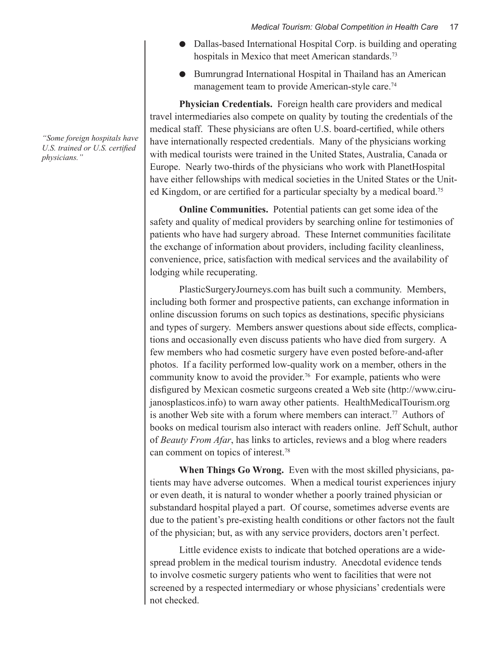- Dallas-based International Hospital Corp. is building and operating hospitals in Mexico that meet American standards.<sup>73</sup>
- **•** Bumrungrad International Hospital in Thailand has an American management team to provide American-style care.<sup>74</sup>

**Physician Credentials.** Foreign health care providers and medical travel intermediaries also compete on quality by touting the credentials of the medical staff. These physicians are often U.S. board-certified, while others have internationally respected credentials. Many of the physicians working with medical tourists were trained in the United States, Australia, Canada or Europe. Nearly two-thirds of the physicians who work with PlanetHospital have either fellowships with medical societies in the United States or the United Kingdom, or are certified for a particular specialty by a medical board.<sup>75</sup>

**Online Communities.** Potential patients can get some idea of the safety and quality of medical providers by searching online for testimonies of patients who have had surgery abroad. These Internet communities facilitate the exchange of information about providers, including facility cleanliness, convenience, price, satisfaction with medical services and the availability of lodging while recuperating.

PlasticSurgeryJourneys.com has built such a community. Members, including both former and prospective patients, can exchange information in online discussion forums on such topics as destinations, specific physicians and types of surgery. Members answer questions about side effects, complications and occasionally even discuss patients who have died from surgery. A few members who had cosmetic surgery have even posted before-and-after photos. If a facility performed low-quality work on a member, others in the community know to avoid the provider.76 For example, patients who were disfigured by Mexican cosmetic surgeons created a Web site (http://www.cirujanosplasticos.info) to warn away other patients. HealthMedicalTourism.org is another Web site with a forum where members can interact.<sup>77</sup> Authors of books on medical tourism also interact with readers online. Jeff Schult, author of *Beauty From Afar*, has links to articles, reviews and a blog where readers can comment on topics of interest.78

**When Things Go Wrong.** Even with the most skilled physicians, patients may have adverse outcomes. When a medical tourist experiences injury or even death, it is natural to wonder whether a poorly trained physician or substandard hospital played a part. Of course, sometimes adverse events are due to the patient's pre-existing health conditions or other factors not the fault of the physician; but, as with any service providers, doctors aren't perfect.

Little evidence exists to indicate that botched operations are a widespread problem in the medical tourism industry. Anecdotal evidence tends to involve cosmetic surgery patients who went to facilities that were not screened by a respected intermediary or whose physicians' credentials were not checked.

*"Some foreign hospitals have U.S. trained or U.S. certified physicians."*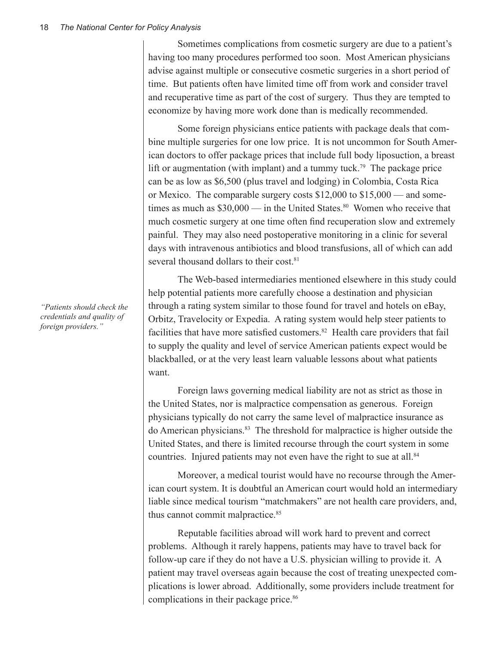Sometimes complications from cosmetic surgery are due to a patient's having too many procedures performed too soon. Most American physicians advise against multiple or consecutive cosmetic surgeries in a short period of time. But patients often have limited time off from work and consider travel and recuperative time as part of the cost of surgery. Thus they are tempted to economize by having more work done than is medically recommended.

Some foreign physicians entice patients with package deals that combine multiple surgeries for one low price. It is not uncommon for South American doctors to offer package prices that include full body liposuction, a breast lift or augmentation (with implant) and a tummy tuck.<sup>79</sup> The package price can be as low as \$6,500 (plus travel and lodging) in Colombia, Costa Rica or Mexico. The comparable surgery costs \$12,000 to \$15,000 — and sometimes as much as  $$30,000$  — in the United States.<sup>80</sup> Women who receive that much cosmetic surgery at one time often find recuperation slow and extremely painful. They may also need postoperative monitoring in a clinic for several days with intravenous antibiotics and blood transfusions, all of which can add several thousand dollars to their cost <sup>81</sup>

The Web-based intermediaries mentioned elsewhere in this study could help potential patients more carefully choose a destination and physician through a rating system similar to those found for travel and hotels on eBay, Orbitz, Travelocity or Expedia. A rating system would help steer patients to facilities that have more satisfied customers.82 Health care providers that fail to supply the quality and level of service American patients expect would be blackballed, or at the very least learn valuable lessons about what patients want.

Foreign laws governing medical liability are not as strict as those in the United States, nor is malpractice compensation as generous. Foreign physicians typically do not carry the same level of malpractice insurance as do American physicians.83 The threshold for malpractice is higher outside the United States, and there is limited recourse through the court system in some countries. Injured patients may not even have the right to sue at all.<sup>84</sup>

Moreover, a medical tourist would have no recourse through the American court system. It is doubtful an American court would hold an intermediary liable since medical tourism "matchmakers" are not health care providers, and, thus cannot commit malpractice.<sup>85</sup>

Reputable facilities abroad will work hard to prevent and correct problems. Although it rarely happens, patients may have to travel back for follow-up care if they do not have a U.S. physician willing to provide it. A patient may travel overseas again because the cost of treating unexpected complications is lower abroad. Additionally, some providers include treatment for complications in their package price.<sup>86</sup>

*"Patients should check the credentials and quality of foreign providers."*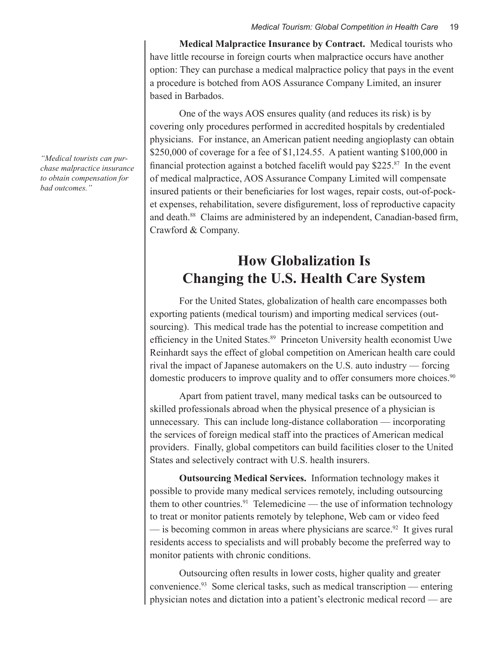**Medical Malpractice Insurance by Contract.** Medical tourists who have little recourse in foreign courts when malpractice occurs have another option: They can purchase a medical malpractice policy that pays in the event a procedure is botched from AOS Assurance Company Limited, an insurer based in Barbados.

One of the ways AOS ensures quality (and reduces its risk) is by covering only procedures performed in accredited hospitals by credentialed physicians. For instance, an American patient needing angioplasty can obtain \$250,000 of coverage for a fee of \$1,124.55. A patient wanting \$100,000 in financial protection against a botched facelift would pay \$225.87 In the event of medical malpractice, AOS Assurance Company Limited will compensate insured patients or their beneficiaries for lost wages, repair costs, out-of-pocket expenses, rehabilitation, severe disfigurement, loss of reproductive capacity and death.88 Claims are administered by an independent, Canadian-based firm, Crawford & Company.

## **How Globalization Is Changing the U.S. Health Care System**

For the United States, globalization of health care encompasses both exporting patients (medical tourism) and importing medical services (outsourcing). This medical trade has the potential to increase competition and efficiency in the United States.<sup>89</sup> Princeton University health economist Uwe Reinhardt says the effect of global competition on American health care could rival the impact of Japanese automakers on the U.S. auto industry — forcing domestic producers to improve quality and to offer consumers more choices.<sup>90</sup>

Apart from patient travel, many medical tasks can be outsourced to skilled professionals abroad when the physical presence of a physician is unnecessary. This can include long-distance collaboration — incorporating the services of foreign medical staff into the practices of American medical providers. Finally, global competitors can build facilities closer to the United States and selectively contract with U.S. health insurers.

**Outsourcing Medical Services.** Information technology makes it possible to provide many medical services remotely, including outsourcing them to other countries.<sup>91</sup> Telemedicine — the use of information technology to treat or monitor patients remotely by telephone, Web cam or video feed  $\frac{1}{2}$  is becoming common in areas where physicians are scarce.<sup>92</sup> It gives rural residents access to specialists and will probably become the preferred way to monitor patients with chronic conditions.

Outsourcing often results in lower costs, higher quality and greater convenience.93 Some clerical tasks, such as medical transcription — entering physician notes and dictation into a patient's electronic medical record — are

*"Medical tourists can purchase malpractice insurance to obtain compensation for bad outcomes."*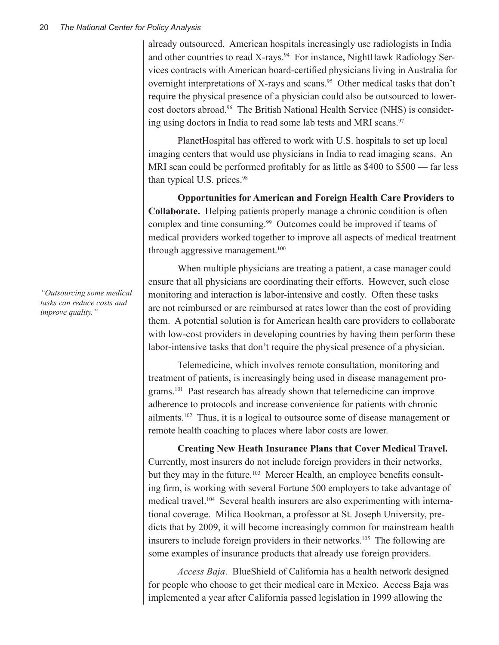already outsourced. American hospitals increasingly use radiologists in India and other countries to read X-rays.<sup>94</sup> For instance, NightHawk Radiology Services contracts with American board-certified physicians living in Australia for overnight interpretations of X-rays and scans.<sup>95</sup> Other medical tasks that don't require the physical presence of a physician could also be outsourced to lowercost doctors abroad.96 The British National Health Service (NHS) is considering using doctors in India to read some lab tests and MRI scans.<sup>97</sup>

PlanetHospital has offered to work with U.S. hospitals to set up local imaging centers that would use physicians in India to read imaging scans. An MRI scan could be performed profitably for as little as \$400 to \$500 — far less than typical U.S. prices.<sup>98</sup>

**Opportunities for American and Foreign Health Care Providers to Collaborate.** Helping patients properly manage a chronic condition is often complex and time consuming.<sup>99</sup> Outcomes could be improved if teams of medical providers worked together to improve all aspects of medical treatment through aggressive management.<sup>100</sup>

When multiple physicians are treating a patient, a case manager could ensure that all physicians are coordinating their efforts. However, such close monitoring and interaction is labor-intensive and costly. Often these tasks are not reimbursed or are reimbursed at rates lower than the cost of providing them. A potential solution is for American health care providers to collaborate with low-cost providers in developing countries by having them perform these labor-intensive tasks that don't require the physical presence of a physician.

Telemedicine, which involves remote consultation, monitoring and treatment of patients, is increasingly being used in disease management programs.101 Past research has already shown that telemedicine can improve adherence to protocols and increase convenience for patients with chronic ailments.102 Thus, it is a logical to outsource some of disease management or remote health coaching to places where labor costs are lower.

**Creating New Heath Insurance Plans that Cover Medical Travel.**  Currently, most insurers do not include foreign providers in their networks, but they may in the future.<sup>103</sup> Mercer Health, an employee benefits consulting firm, is working with several Fortune 500 employers to take advantage of medical travel.104 Several health insurers are also experimenting with international coverage. Milica Bookman, a professor at St. Joseph University, predicts that by 2009, it will become increasingly common for mainstream health insurers to include foreign providers in their networks.<sup>105</sup> The following are some examples of insurance products that already use foreign providers.

*Access Baja*.BlueShield of California has a health network designed for people who choose to get their medical care in Mexico. Access Baja was implemented a year after California passed legislation in 1999 allowing the

*"Outsourcing some medical tasks can reduce costs and improve quality."*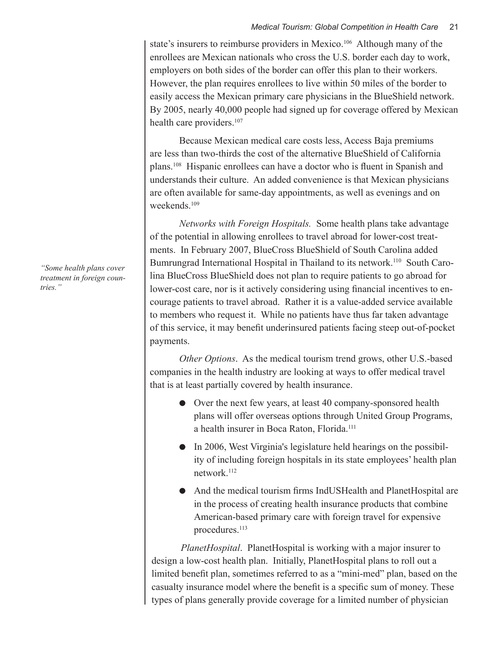#### *Medical Tourism: Global Competition in Health Care* 21

state's insurers to reimburse providers in Mexico.<sup>106</sup> Although many of the enrollees are Mexican nationals who cross the U.S. border each day to work, employers on both sides of the border can offer this plan to their workers. However, the plan requires enrollees to live within 50 miles of the border to easily access the Mexican primary care physicians in the BlueShield network. By 2005, nearly 40,000 people had signed up for coverage offered by Mexican health care providers.<sup>107</sup>

Because Mexican medical care costs less, Access Baja premiums are less than two-thirds the cost of the alternative BlueShield of California plans.108 Hispanic enrollees can have a doctor who is fluent in Spanish and understands their culture. An added convenience is that Mexican physicians are often available for same-day appointments, as well as evenings and on weekends.<sup>109</sup>

*Networks with Foreign Hospitals.* Some health plans take advantage of the potential in allowing enrollees to travel abroad for lower-cost treatments. In February 2007, BlueCross BlueShield of South Carolina added Bumrungrad International Hospital in Thailand to its network.<sup>110</sup> South Carolina BlueCross BlueShield does not plan to require patients to go abroad for lower-cost care, nor is it actively considering using financial incentives to encourage patients to travel abroad. Rather it is a value-added service available to members who request it. While no patients have thus far taken advantage of this service, it may benefit underinsured patients facing steep out-of-pocket payments.

*Other Options*. As the medical tourism trend grows, other U.S.-based companies in the health industry are looking at ways to offer medical travel that is at least partially covered by health insurance.

- Over the next few years, at least 40 company-sponsored health plans will offer overseas options through United Group Programs, a health insurer in Boca Raton, Florida.111
- In 2006, West Virginia's legislature held hearings on the possibility of including foreign hospitals in its state employees' health plan network.112
- And the medical tourism firms IndUSHealth and PlanetHospital are in the process of creating health insurance products that combine American-based primary care with foreign travel for expensive procedures.<sup>113</sup>

*PlanetHospital*. PlanetHospital is working with a major insurer to design a low-cost health plan. Initially, PlanetHospital plans to roll out a limited benefit plan, sometimes referred to as a "mini-med" plan, based on the casualty insurance model where the benefit is a specific sum of money. These types of plans generally provide coverage for a limited number of physician

*"Some health plans cover treatment in foreign countries."*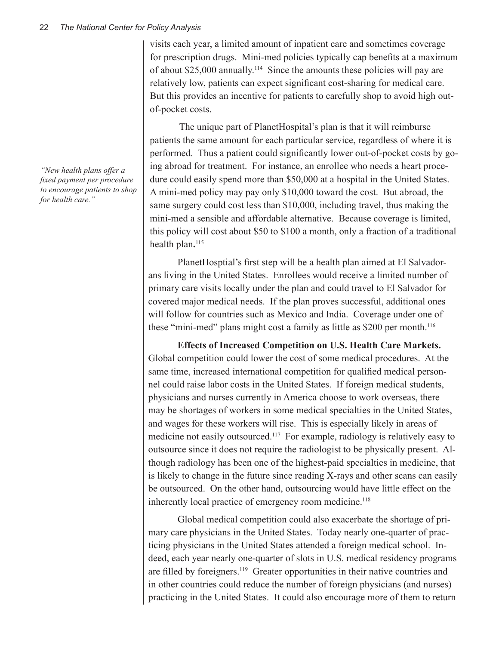visits each year, a limited amount of inpatient care and sometimes coverage for prescription drugs. Mini-med policies typically cap benefits at a maximum of about \$25,000 annually.114 Since the amounts these policies will pay are relatively low, patients can expect significant cost-sharing for medical care. But this provides an incentive for patients to carefully shop to avoid high outof-pocket costs.

The unique part of PlanetHospital's plan is that it will reimburse patients the same amount for each particular service, regardless of where it is performed. Thus a patient could significantly lower out-of-pocket costs by going abroad for treatment. For instance, an enrollee who needs a heart procedure could easily spend more than \$50,000 at a hospital in the United States. A mini-med policy may pay only \$10,000 toward the cost. But abroad, the same surgery could cost less than \$10,000, including travel, thus making the mini-med a sensible and affordable alternative. Because coverage is limited, this policy will cost about \$50 to \$100 a month, only a fraction of a traditional health plan**.** 115

PlanetHosptial's first step will be a health plan aimed at El Salvadorans living in the United States. Enrollees would receive a limited number of primary care visits locally under the plan and could travel to El Salvador for covered major medical needs. If the plan proves successful, additional ones will follow for countries such as Mexico and India. Coverage under one of these "mini-med" plans might cost a family as little as \$200 per month.<sup>116</sup>

**Effects of Increased Competition on U.S. Health Care Markets.** Global competition could lower the cost of some medical procedures. At the same time, increased international competition for qualified medical personnel could raise labor costs in the United States. If foreign medical students, physicians and nurses currently in America choose to work overseas, there may be shortages of workers in some medical specialties in the United States, and wages for these workers will rise. This is especially likely in areas of medicine not easily outsourced.117 For example, radiology is relatively easy to outsource since it does not require the radiologist to be physically present. Although radiology has been one of the highest-paid specialties in medicine, that is likely to change in the future since reading X-rays and other scans can easily be outsourced. On the other hand, outsourcing would have little effect on the inherently local practice of emergency room medicine.<sup>118</sup>

Global medical competition could also exacerbate the shortage of primary care physicians in the United States. Today nearly one-quarter of practicing physicians in the United States attended a foreign medical school. Indeed, each year nearly one-quarter of slots in U.S. medical residency programs are filled by foreigners.<sup>119</sup> Greater opportunities in their native countries and in other countries could reduce the number of foreign physicians (and nurses) practicing in the United States. It could also encourage more of them to return

*"New health plans offer a fixed payment per procedure to encourage patients to shop for health care."*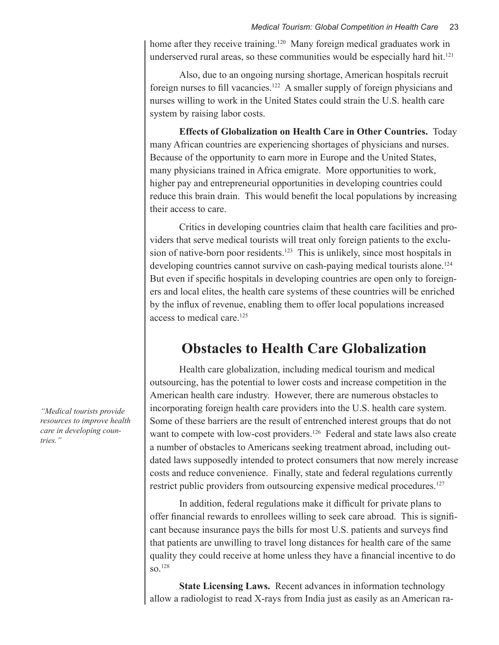home after they receive training.<sup>120</sup> Many foreign medical graduates work in underserved rural areas, so these communities would be especially hard hit.<sup>121</sup>

Also, due to an ongoing nursing shortage, American hospitals recruit foreign nurses to fill vacancies.122 A smaller supply of foreign physicians and nurses willing to work in the United States could strain the U.S. health care system by raising labor costs.

**Effects of Globalization on Health Care in Other Countries.** Today many African countries are experiencing shortages of physicians and nurses. Because of the opportunity to earn more in Europe and the United States, many physicians trained in Africa emigrate. More opportunities to work, higher pay and entrepreneurial opportunities in developing countries could reduce this brain drain. This would benefit the local populations by increasing their access to care.

Critics in developing countries claim that health care facilities and providers that serve medical tourists will treat only foreign patients to the exclusion of native-born poor residents.<sup>123</sup> This is unlikely, since most hospitals in developing countries cannot survive on cash-paying medical tourists alone.<sup>124</sup> But even if specific hospitals in developing countries are open only to foreigners and local elites, the health care systems of these countries will be enriched by the influx of revenue, enabling them to offer local populations increased access to medical care.125

## **Obstacles to Health Care Globalization**

Health care globalization, including medical tourism and medical outsourcing, has the potential to lower costs and increase competition in the American health care industry. However, there are numerous obstacles to incorporating foreign health care providers into the U.S. health care system. Some of these barriers are the result of entrenched interest groups that do not want to compete with low-cost providers.<sup>126</sup> Federal and state laws also create a number of obstacles to Americans seeking treatment abroad, including outdated laws supposedly intended to protect consumers that now merely increase costs and reduce convenience. Finally, state and federal regulations currently restrict public providers from outsourcing expensive medical procedures.<sup>127</sup>

In addition, federal regulations make it difficult for private plans to offer financial rewards to enrollees willing to seek care abroad. This is significant because insurance pays the bills for most U.S. patients and surveys find that patients are unwilling to travel long distances for health care of the same quality they could receive at home unless they have a financial incentive to do  $\mathrm{SO}^{-128}$ 

**State Licensing Laws.** Recent advances in information technology allow a radiologist to read X-rays from India just as easily as an American ra-

*"Medical tourists provide resources to improve health care in developing countries."*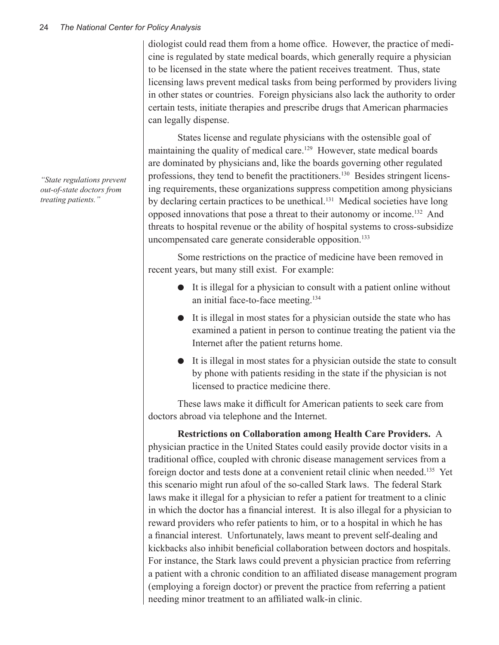diologist could read them from a home office. However, the practice of medicine is regulated by state medical boards, which generally require a physician to be licensed in the state where the patient receives treatment. Thus, state licensing laws prevent medical tasks from being performed by providers living in other states or countries. Foreign physicians also lack the authority to order certain tests, initiate therapies and prescribe drugs that American pharmacies can legally dispense.

States license and regulate physicians with the ostensible goal of maintaining the quality of medical care.<sup>129</sup> However, state medical boards are dominated by physicians and, like the boards governing other regulated professions, they tend to benefit the practitioners.130 Besides stringent licensing requirements, these organizations suppress competition among physicians by declaring certain practices to be unethical.<sup>131</sup> Medical societies have long opposed innovations that pose a threat to their autonomy or income.132 And threats to hospital revenue or the ability of hospital systems to cross-subsidize uncompensated care generate considerable opposition.<sup>133</sup>

Some restrictions on the practice of medicine have been removed in recent years, but many still exist. For example:

- $\bullet$  It is illegal for a physician to consult with a patient online without an initial face-to-face meeting.134
- $\bullet$  It is illegal in most states for a physician outside the state who has examined a patient in person to continue treating the patient via the Internet after the patient returns home.
- It is illegal in most states for a physician outside the state to consult by phone with patients residing in the state if the physician is not licensed to practice medicine there.

These laws make it difficult for American patients to seek care from doctors abroad via telephone and the Internet.

**Restrictions on Collaboration among Health Care Providers.** A physician practice in the United States could easily provide doctor visits in a traditional office, coupled with chronic disease management services from a foreign doctor and tests done at a convenient retail clinic when needed.135 Yet this scenario might run afoul of the so-called Stark laws. The federal Stark laws make it illegal for a physician to refer a patient for treatment to a clinic in which the doctor has a financial interest. It is also illegal for a physician to reward providers who refer patients to him, or to a hospital in which he has a financial interest. Unfortunately, laws meant to prevent self-dealing and kickbacks also inhibit beneficial collaboration between doctors and hospitals. For instance, the Stark laws could prevent a physician practice from referring a patient with a chronic condition to an affiliated disease management program (employing a foreign doctor) or prevent the practice from referring a patient needing minor treatment to an affiliated walk-in clinic.

*"State regulations prevent out-of-state doctors from treating patients."*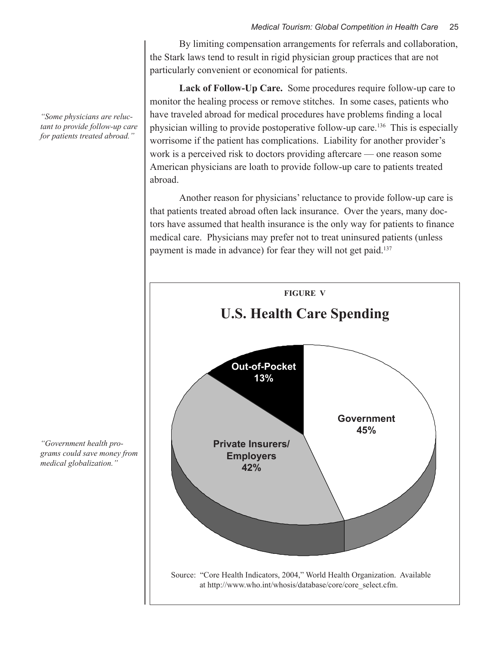By limiting compensation arrangements for referrals and collaboration, the Stark laws tend to result in rigid physician group practices that are not particularly convenient or economical for patients.

**Lack of Follow-Up Care.** Some procedures require follow-up care to monitor the healing process or remove stitches. In some cases, patients who have traveled abroad for medical procedures have problems finding a local physician willing to provide postoperative follow-up care.136 This is especially worrisome if the patient has complications. Liability for another provider's work is a perceived risk to doctors providing aftercare — one reason some American physicians are loath to provide follow-up care to patients treated abroad.

Another reason for physicians' reluctance to provide follow-up care is that patients treated abroad often lack insurance. Over the years, many doctors have assumed that health insurance is the only way for patients to finance medical care. Physicians may prefer not to treat uninsured patients (unless payment is made in advance) for fear they will not get paid.<sup>137</sup>



*"Some physicians are reluctant to provide follow-up care for patients treated abroad."*

*"Government health programs could save money from medical globalization."*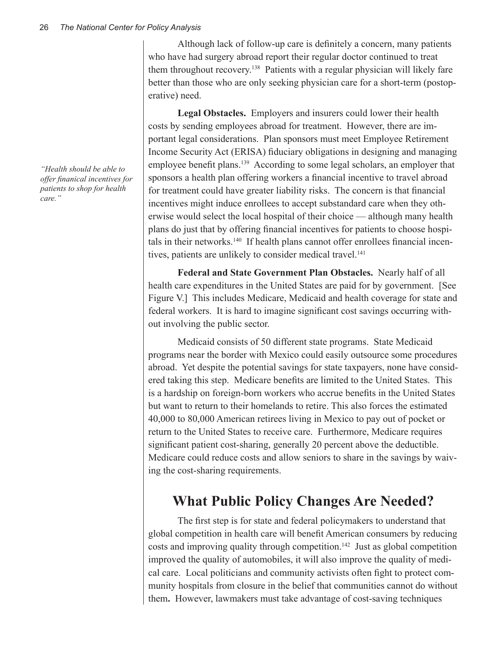Although lack of follow-up care is definitely a concern, many patients who have had surgery abroad report their regular doctor continued to treat them throughout recovery.138 Patients with a regular physician will likely fare better than those who are only seeking physician care for a short-term (postoperative) need.

**Legal Obstacles.** Employers and insurers could lower their health costs by sending employees abroad for treatment. However, there are important legal considerations. Plan sponsors must meet Employee Retirement Income Security Act (ERISA) fiduciary obligations in designing and managing employee benefit plans.<sup>139</sup> According to some legal scholars, an employer that sponsors a health plan offering workers a financial incentive to travel abroad for treatment could have greater liability risks. The concern is that financial incentives might induce enrollees to accept substandard care when they otherwise would select the local hospital of their choice — although many health plans do just that by offering financial incentives for patients to choose hospitals in their networks.140 If health plans cannot offer enrollees financial incentives, patients are unlikely to consider medical travel.<sup>141</sup>

**Federal and State Government Plan Obstacles.** Nearly half of all health care expenditures in the United States are paid for by government. [See Figure V.] This includes Medicare, Medicaid and health coverage for state and federal workers. It is hard to imagine significant cost savings occurring without involving the public sector.

Medicaid consists of 50 different state programs. State Medicaid programs near the border with Mexico could easily outsource some procedures abroad. Yet despite the potential savings for state taxpayers, none have considered taking this step. Medicare benefits are limited to the United States. This is a hardship on foreign-born workers who accrue benefits in the United States but want to return to their homelands to retire. This also forces the estimated 40,000 to 80,000 American retirees living in Mexico to pay out of pocket or return to the United States to receive care. Furthermore, Medicare requires significant patient cost-sharing, generally 20 percent above the deductible. Medicare could reduce costs and allow seniors to share in the savings by waiving the cost-sharing requirements.

## **What Public Policy Changes Are Needed?**

The first step is for state and federal policymakers to understand that global competition in health care will benefit American consumers by reducing costs and improving quality through competition.<sup>142</sup> Just as global competition improved the quality of automobiles, it will also improve the quality of medical care. Local politicians and community activists often fight to protect community hospitals from closure in the belief that communities cannot do without them**.** However, lawmakers must take advantage of cost-saving techniques

*"Health should be able to offer finanical incentives for patients to shop for health care."*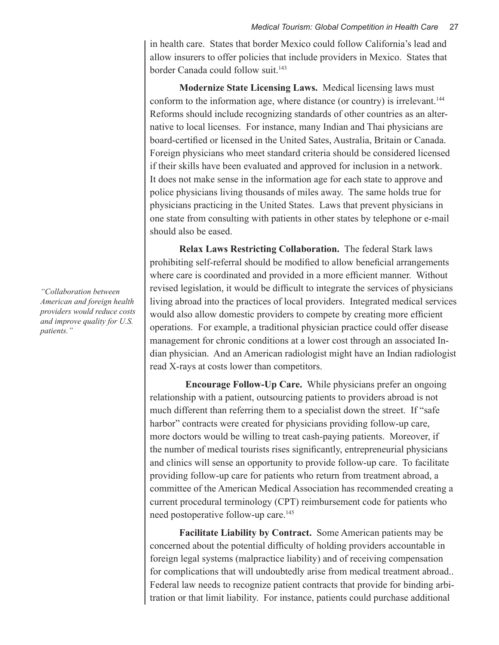in health care. States that border Mexico could follow California's lead and allow insurers to offer policies that include providers in Mexico. States that border Canada could follow suit.<sup>143</sup>

**Modernize State Licensing Laws.** Medical licensing laws must conform to the information age, where distance (or country) is irrelevant.<sup>144</sup> Reforms should include recognizing standards of other countries as an alternative to local licenses. For instance, many Indian and Thai physicians are board-certified or licensed in the United Sates, Australia, Britain or Canada. Foreign physicians who meet standard criteria should be considered licensed if their skills have been evaluated and approved for inclusion in a network. It does not make sense in the information age for each state to approve and police physicians living thousands of miles away. The same holds true for physicians practicing in the United States. Laws that prevent physicians in one state from consulting with patients in other states by telephone or e-mail should also be eased.

**Relax Laws Restricting Collaboration.** The federal Stark laws prohibiting self-referral should be modified to allow beneficial arrangements where care is coordinated and provided in a more efficient manner. Without revised legislation, it would be difficult to integrate the services of physicians living abroad into the practices of local providers. Integrated medical services would also allow domestic providers to compete by creating more efficient operations. For example, a traditional physician practice could offer disease management for chronic conditions at a lower cost through an associated Indian physician. And an American radiologist might have an Indian radiologist read X-rays at costs lower than competitors.

 **Encourage Follow-Up Care.** While physicians prefer an ongoing relationship with a patient, outsourcing patients to providers abroad is not much different than referring them to a specialist down the street. If "safe" harbor" contracts were created for physicians providing follow-up care, more doctors would be willing to treat cash-paying patients. Moreover, if the number of medical tourists rises significantly, entrepreneurial physicians and clinics will sense an opportunity to provide follow-up care. To facilitate providing follow-up care for patients who return from treatment abroad, a committee of the American Medical Association has recommended creating a current procedural terminology (CPT) reimbursement code for patients who need postoperative follow-up care.<sup>145</sup>

**Facilitate Liability by Contract.** Some American patients may be concerned about the potential difficulty of holding providers accountable in foreign legal systems (malpractice liability) and of receiving compensation for complications that will undoubtedly arise from medical treatment abroad.. Federal law needs to recognize patient contracts that provide for binding arbitration or that limit liability. For instance, patients could purchase additional

*"Collaboration between American and foreign health providers would reduce costs and improve quality for U.S. patients."*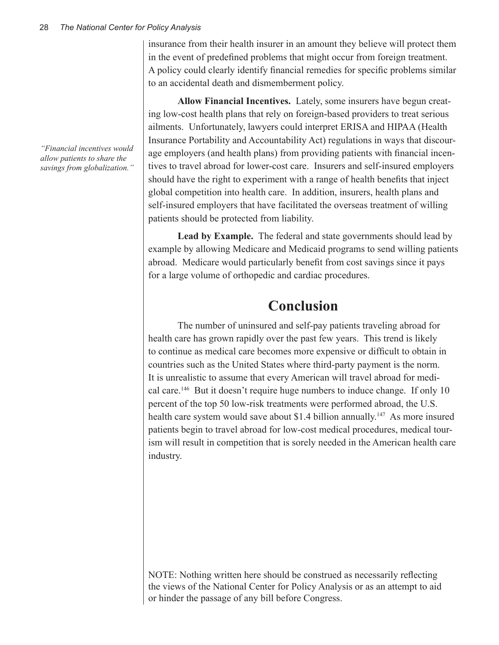*"Financial incentives would allow patients to share the savings from globalization."*

insurance from their health insurer in an amount they believe will protect them in the event of predefined problems that might occur from foreign treatment. A policy could clearly identify financial remedies for specific problems similar to an accidental death and dismemberment policy.

**Allow Financial Incentives.** Lately, some insurers have begun creating low-cost health plans that rely on foreign-based providers to treat serious ailments. Unfortunately, lawyers could interpret ERISA and HIPAA (Health Insurance Portability and Accountability Act) regulations in ways that discourage employers (and health plans) from providing patients with financial incentives to travel abroad for lower-cost care. Insurers and self-insured employers should have the right to experiment with a range of health benefits that inject global competition into health care. In addition, insurers, health plans and self-insured employers that have facilitated the overseas treatment of willing patients should be protected from liability.

**Lead by Example.**The federal and state governments should lead by example by allowing Medicare and Medicaid programs to send willing patients abroad. Medicare would particularly benefit from cost savings since it pays for a large volume of orthopedic and cardiac procedures.

## **Conclusion**

The number of uninsured and self-pay patients traveling abroad for health care has grown rapidly over the past few years. This trend is likely to continue as medical care becomes more expensive or difficult to obtain in countries such as the United States where third-party payment is the norm. It is unrealistic to assume that every American will travel abroad for medical care.146 But it doesn't require huge numbers to induce change. If only 10 percent of the top 50 low-risk treatments were performed abroad, the U.S. health care system would save about \$1.4 billion annually.<sup>147</sup> As more insured patients begin to travel abroad for low-cost medical procedures, medical tourism will result in competition that is sorely needed in the American health care industry.

NOTE: Nothing written here should be construed as necessarily reflecting the views of the National Center for Policy Analysis or as an attempt to aid or hinder the passage of any bill before Congress.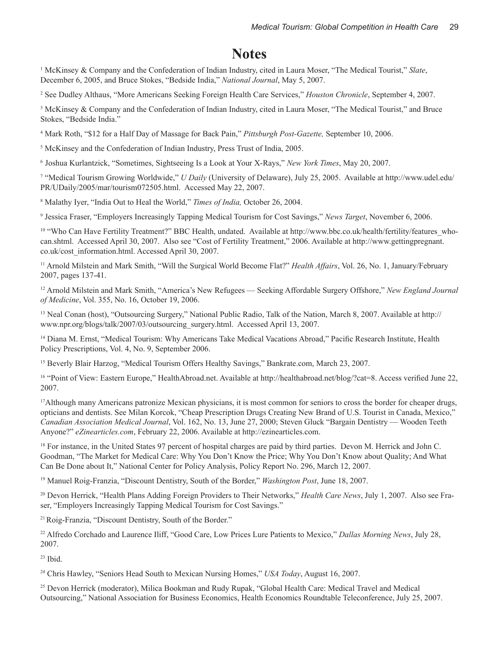### **Notes**

1 McKinsey & Company and the Confederation of Indian Industry, cited in Laura Moser, "The Medical Tourist," *Slate*, December 6, 2005, and Bruce Stokes, "Bedside India," *National Journal*, May 5, 2007.

2 See Dudley Althaus, "More Americans Seeking Foreign Health Care Services," *Houston Chronicle*, September 4, 2007.

<sup>3</sup> McKinsey & Company and the Confederation of Indian Industry, cited in Laura Moser, "The Medical Tourist," and Bruce Stokes, "Bedside India."

4 Mark Roth, "\$12 for a Half Day of Massage for Back Pain," *Pittsburgh Post-Gazette,* September 10, 2006.

<sup>5</sup> McKinsey and the Confederation of Indian Industry, Press Trust of India, 2005.

<sup>6</sup>Joshua Kurlantzick, "Sometimes, Sightseeing Is a Look at Your X-Rays," *New York Times*, May 20, 2007.

7 "Medical Tourism Growing Worldwide," *U Daily* (University of Delaware), July 25, 2005. Available at http://www.udel.edu/ PR/UDaily/2005/mar/tourism072505.html. Accessed May 22, 2007.

8 Malathy Iyer, "India Out to Heal the World," *Times of India,* October 26, 2004.

9 Jessica Fraser, "Employers Increasingly Tapping Medical Tourism for Cost Savings," *News Target*, November 6, 2006.

<sup>10</sup> "Who Can Have Fertility Treatment?" BBC Health, undated. Available at http://www.bbc.co.uk/health/fertility/features\_whocan.shtml. Accessed April 30, 2007. Also see "Cost of Fertility Treatment," 2006. Available at http://www.gettingpregnant. co.uk/cost\_information.html. Accessed April 30, 2007.

<sup>11</sup> Arnold Milstein and Mark Smith, "Will the Surgical World Become Flat?" *Health Affairs*, Vol. 26, No. 1, January/February 2007, pages 137-41.

<sup>12</sup> Arnold Milstein and Mark Smith, "America's New Refugees — Seeking Affordable Surgery Offshore," *New England Journal of Medicine*, Vol. 355, No. 16, October 19, 2006.

<sup>13</sup> Neal Conan (host), "Outsourcing Surgery," National Public Radio, Talk of the Nation, March 8, 2007. Available at http:// www.npr.org/blogs/talk/2007/03/outsourcing\_surgery.html. Accessed April 13, 2007.

<sup>14</sup> Diana M. Ernst, "Medical Tourism: Why Americans Take Medical Vacations Abroad," Pacific Research Institute, Health Policy Prescriptions, Vol. 4, No. 9, September 2006.

<sup>15</sup> Beverly Blair Harzog, "Medical Tourism Offers Healthy Savings," Bankrate.com, March 23, 2007.

<sup>16</sup> "Point of View: Eastern Europe," HealthAbroad.net. Available at http://healthabroad.net/blog/?cat=8. Access verified June 22, 2007.

<sup>17</sup>Although many Americans patronize Mexican physicians, it is most common for seniors to cross the border for cheaper drugs, opticians and dentists. See Milan Korcok, "Cheap Prescription Drugs Creating New Brand of U.S. Tourist in Canada, Mexico," *Canadian Association Medical Journal*, Vol. 162, No. 13, June 27, 2000; Steven Gluck "Bargain Dentistry — Wooden Teeth Anyone?" *eZinearticles.com*, February 22, 2006. Available at http://ezinearticles.com.

<sup>18</sup> For instance, in the United States 97 percent of hospital charges are paid by third parties. Devon M. Herrick and John C. Goodman, "The Market for Medical Care: Why You Don't Know the Price; Why You Don't Know about Quality; And What Can Be Done about It," National Center for Policy Analysis, Policy Report No. 296, March 12, 2007.

<sup>19</sup> Manuel Roig-Franzia, "Discount Dentistry, South of the Border," *Washington Post*, June 18, 2007.

20 Devon Herrick, "Health Plans Adding Foreign Providers to Their Networks," *Health Care News*, July 1, 2007. Also see Fraser, "Employers Increasingly Tapping Medical Tourism for Cost Savings."

<sup>21</sup>Roig-Franzia, "Discount Dentistry, South of the Border."

<sup>22</sup> Alfredo Corchado and Laurence Iliff, "Good Care, Low Prices Lure Patients to Mexico," *Dallas Morning News*, July 28, 2007.

 $23$  Ibid.

<sup>24</sup> Chris Hawley, "Seniors Head South to Mexican Nursing Homes," *USA Today*, August 16, 2007.

<sup>25</sup> Devon Herrick (moderator), Milica Bookman and Rudy Rupak, "Global Health Care: Medical Travel and Medical Outsourcing," National Association for Business Economics, Health Economics Roundtable Teleconference, July 25, 2007.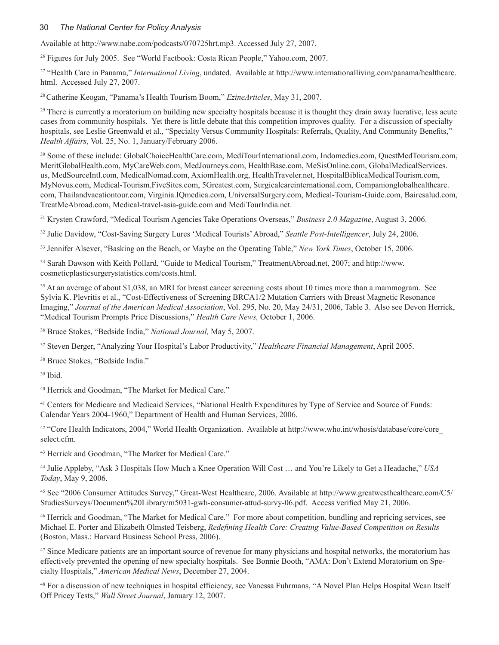#### 30 *The National Center for Policy Analysis*

Available at http://www.nabe.com/podcasts/070725hrt.mp3. Accessed July 27, 2007.

<sup>26</sup> Figures for July 2005. See "World Factbook: Costa Rican People," Yahoo.com, 2007.

<sup>27</sup> "Health Care in Panama," *International Living*, undated. Available at http://www.internationalliving.com/panama/healthcare. html. Accessed July 27, 2007.

<sup>28</sup>Catherine Keogan, "Panama's Health Tourism Boom," *EzineArticles*, May 31, 2007.

<sup>29</sup> There is currently a moratorium on building new specialty hospitals because it is thought they drain away lucrative, less acute cases from community hospitals. Yet there is little debate that this competition improves quality. For a discussion of specialty hospitals, see Leslie Greenwald et al., "Specialty Versus Community Hospitals: Referrals, Quality, And Community Benefits," *Health Affairs*, Vol. 25, No. 1, January/February 2006.

<sup>30</sup> Some of these include: GlobalChoiceHealthCare.com, MediTourInternational.com, Indomedics.com, QuestMedTourism.com, MeritGlobalHealth.com, MyCareWeb.com, MedJourneys.com, HealthBase.com, MeSisOnline.com, GlobalMedicalServices. us, MedSourceIntl.com, MedicalNomad.com, AxiomHealth.org, HealthTraveler.net, HospitalBiblicaMedicalTourism.com, MyNovus.com, Medical-Tourism.FiveSites.com, 5Greatest.com, Surgicalcareinternational.com, Companionglobalhealthcare. com, Thailandvacationtour.com, Virginia.IQmedica.com, UniversalSurgery.com, Medical-Tourism-Guide.com, Bairesalud.com, TreatMeAbroad.com, Medical-travel-asia-guide.com and MediTourIndia.net.

<sup>31</sup> Krysten Crawford, "Medical Tourism Agencies Take Operations Overseas," *Business 2.0 Magazine*, August 3, 2006.

<sup>32</sup> Julie Davidow, "Cost-Saving Surgery Lures 'Medical Tourists' Abroad," *Seattle Post-Intelligencer*, July 24, 2006.

<sup>33</sup> Jennifer Alsever, "Basking on the Beach, or Maybe on the Operating Table," *New York Times*, October 15, 2006.

<sup>34</sup> Sarah Dawson with Keith Pollard, "Guide to Medical Tourism," TreatmentAbroad.net, 2007; and http://www. cosmeticplasticsurgerystatistics.com/costs.html.

<sup>35</sup> At an average of about \$1,038, an MRI for breast cancer screening costs about 10 times more than a mammogram. See Sylvia K. Plevritis et al., "Cost-Effectiveness of Screening BRCA1/2 Mutation Carriers with Breast Magnetic Resonance Imaging," *Journal of the American Medical Association*, Vol. 295, No. 20, May 24/31, 2006, Table 3. Also see Devon Herrick, "Medical Tourism Prompts Price Discussions," *Health Care News,* October 1, 2006.

<sup>36</sup> Bruce Stokes, "Bedside India," *National Journal,* May 5, 2007.

<sup>37</sup> Steven Berger, "Analyzing Your Hospital's Labor Productivity," *Healthcare Financial Management*, April 2005.

<sup>38</sup> Bruce Stokes, "Bedside India."

39 Ibid.

<sup>40</sup> Herrick and Goodman, "The Market for Medical Care."

<sup>41</sup> Centers for Medicare and Medicaid Services, "National Health Expenditures by Type of Service and Source of Funds: Calendar Years 2004-1960," Department of Health and Human Services, 2006.

<sup>42</sup> "Core Health Indicators, 2004," World Health Organization. Available at http://www.who.int/whosis/database/core/core select.cfm.

<sup>43</sup> Herrick and Goodman, "The Market for Medical Care."

<sup>44</sup> Julie Appleby, "Ask 3 Hospitals How Much a Knee Operation Will Cost … and You're Likely to Get a Headache," *USA Today*, May 9, 2006.

<sup>45</sup> See "2006 Consumer Attitudes Survey," Great-West Healthcare, 2006. Available at http://www.greatwesthealthcare.com/C5/ StudiesSurveys/Document%20Library/m5031-gwh-consumer-attud-survy-06.pdf. Access verified May 21, 2006.

<sup>46</sup> Herrick and Goodman, "The Market for Medical Care." For more about competition, bundling and repricing services, see Michael E. Porter and Elizabeth Olmsted Teisberg, *Redefining Health Care: Creating Value-Based Competition on Results* (Boston, Mass.: Harvard Business School Press, 2006).

<sup>47</sup> Since Medicare patients are an important source of revenue for many physicians and hospital networks, the moratorium has effectively prevented the opening of new specialty hospitals. See Bonnie Booth, "AMA: Don't Extend Moratorium on Specialty Hospitals," *American Medical News*, December 27, 2004.

<sup>48</sup> For a discussion of new techniques in hospital efficiency, see Vanessa Fuhrmans, "A Novel Plan Helps Hospital Wean Itself Off Pricey Tests," *Wall Street Journal*, January 12, 2007.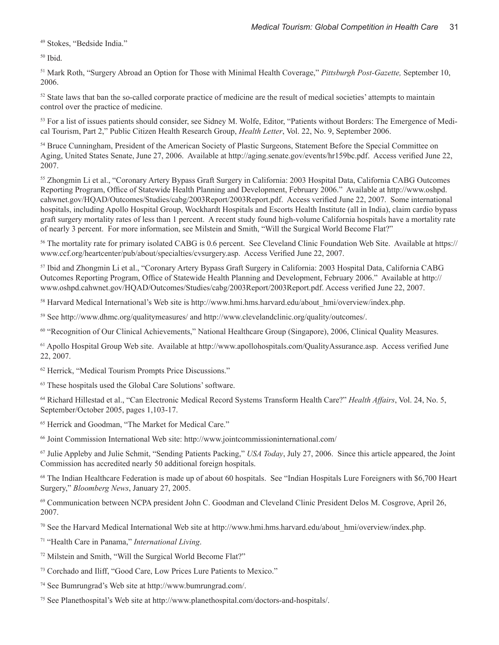<sup>49</sup> Stokes, "Bedside India."

50 Ibid.

<sup>51</sup> Mark Roth, "Surgery Abroad an Option for Those with Minimal Health Coverage," *Pittsburgh Post-Gazette,* September 10, 2006.

<sup>52</sup> State laws that ban the so-called corporate practice of medicine are the result of medical societies' attempts to maintain control over the practice of medicine.

53 For a list of issues patients should consider, see Sidney M. Wolfe, Editor, "Patients without Borders: The Emergence of Medical Tourism, Part 2," Public Citizen Health Research Group, *Health Letter*, Vol. 22, No. 9, September 2006.

<sup>54</sup> Bruce Cunningham, President of the American Society of Plastic Surgeons, Statement Before the Special Committee on Aging, United States Senate, June 27, 2006. Available at http://aging.senate.gov/events/hr159bc.pdf. Access verified June 22, 2007.

<sup>55</sup> Zhongmin Li et al., "Coronary Artery Bypass Graft Surgery in California: 2003 Hospital Data, California CABG Outcomes Reporting Program, Office of Statewide Health Planning and Development, February 2006." Available at http://www.oshpd. cahwnet.gov/HQAD/Outcomes/Studies/cabg/2003Report/2003Report.pdf. Access verified June 22, 2007. Some international hospitals, including Apollo Hospital Group, Wockhardt Hospitals and Escorts Health Institute (all in India), claim cardio bypass graft surgery mortality rates of less than 1 percent. A recent study found high-volume California hospitals have a mortality rate of nearly 3 percent. For more information, see Milstein and Smith, "Will the Surgical World Become Flat?"

<sup>56</sup> The mortality rate for primary isolated CABG is 0.6 percent. See Cleveland Clinic Foundation Web Site. Available at https:// www.ccf.org/heartcenter/pub/about/specialties/cvsurgery.asp. Access Verified June 22, 2007.

<sup>57</sup> Ibid and Zhongmin Li et al., "Coronary Artery Bypass Graft Surgery in California: 2003 Hospital Data, California CABG Outcomes Reporting Program, Office of Statewide Health Planning and Development, February 2006." Available at http:// www.oshpd.cahwnet.gov/HQAD/Outcomes/Studies/cabg/2003Report/2003Report.pdf. Access verified June 22, 2007.

<sup>58</sup> Harvard Medical International's Web site is http://www.hmi.hms.harvard.edu/about\_hmi/overview/index.php.

<sup>59</sup> See http://www.dhmc.org/qualitymeasures/ and http://www.clevelandclinic.org/quality/outcomes/.

<sup>60</sup> "Recognition of Our Clinical Achievements," National Healthcare Group (Singapore), 2006, Clinical Quality Measures.

<sup>61</sup> Apollo Hospital Group Web site. Available at http://www.apollohospitals.com/QualityAssurance.asp. Access verified June 22, 2007.

<sup>62</sup> Herrick, "Medical Tourism Prompts Price Discussions."

63 These hospitals used the Global Care Solutions' software.

<sup>64</sup> Richard Hillestad et al., "Can Electronic Medical Record Systems Transform Health Care?" *Health Affairs*, Vol. 24, No. 5, September/October 2005, pages 1,103-17.

<sup>65</sup> Herrick and Goodman, "The Market for Medical Care."

<sup>66</sup> Joint Commission International Web site: http://www.jointcommissioninternational.com/

<sup>67</sup> Julie Appleby and Julie Schmit, "Sending Patients Packing," *USA Today*, July 27, 2006. Since this article appeared, the Joint Commission has accredited nearly 50 additional foreign hospitals.

<sup>68</sup> The Indian Healthcare Federation is made up of about 60 hospitals. See "Indian Hospitals Lure Foreigners with \$6,700 Heart Surgery," *Bloomberg News*, January 27, 2005.

69 Communication between NCPA president John C. Goodman and Cleveland Clinic President Delos M. Cosgrove, April 26, 2007.

<sup>70</sup> See the Harvard Medical International Web site at http://www.hmi.hms.harvard.edu/about\_hmi/overview/index.php.

<sup>71</sup> "Health Care in Panama," *International Living*.

<sup>72</sup> Milstein and Smith, "Will the Surgical World Become Flat?"

<sup>73</sup> Corchado and Iliff, "Good Care, Low Prices Lure Patients to Mexico."

<sup>74</sup> See Bumrungrad's Web site at http://www.bumrungrad.com/.

75 See Planethospital's Web site at http://www.planethospital.com/doctors-and-hospitals/.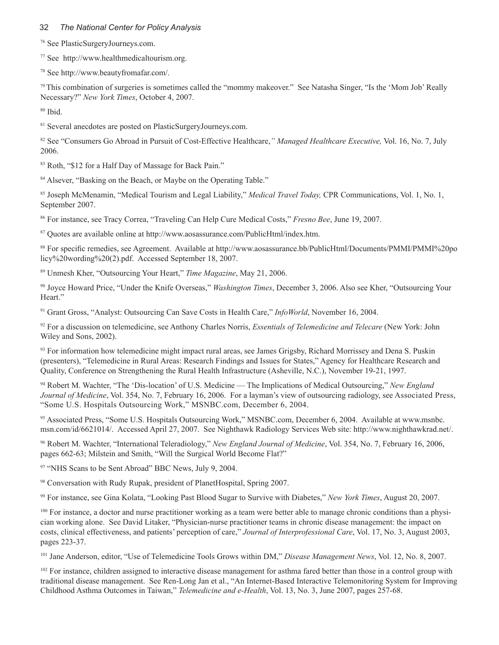#### 32 *The National Center for Policy Analysis*

76 See PlasticSurgeryJourneys.com.

<sup>77</sup> See http://www.healthmedicaltourism.org.

<sup>78</sup> See http://www.beautyfromafar.com/.

<sup>79</sup>This combination of surgeries is sometimes called the "mommy makeover." See Natasha Singer, "Is the 'Mom Job' Really Necessary?" *New York Times*, October 4, 2007.

80 Ibid.

<sup>81</sup> Several anecdotes are posted on PlasticSurgeryJourneys.com.

<sup>82</sup> See "Consumers Go Abroad in Pursuit of Cost-Effective Healthcare,*" Managed Healthcare Executive,* Vol. 16, No. 7, July 2006.

83 Roth, "\$12 for a Half Day of Massage for Back Pain."

<sup>84</sup> Alsever, "Basking on the Beach, or Maybe on the Operating Table."

<sup>85</sup> Joseph McMenamin, "Medical Tourism and Legal Liability," *Medical Travel Today,* CPR Communications, Vol. 1, No. 1, September 2007.

<sup>86</sup> For instance, see Tracy Correa, "Traveling Can Help Cure Medical Costs," *Fresno Bee*, June 19, 2007.

<sup>87</sup> Quotes are available online at http://www.aosassurance.com/PublicHtml/index.htm.

<sup>88</sup> For specific remedies, see Agreement. Available at http://www.aosassurance.bb/PublicHtml/Documents/PMMI/PMMI%20po licy%20wording%20(2).pdf. Accessed September 18, 2007.

<sup>89</sup> Unmesh Kher, "Outsourcing Your Heart," *Time Magazine*, May 21, 2006.

<sup>90</sup> Joyce Howard Price, "Under the Knife Overseas," *Washington Times*, December 3, 2006. Also see Kher, "Outsourcing Your Heart."

<sup>91</sup> Grant Gross, "Analyst: Outsourcing Can Save Costs in Health Care," *InfoWorld*, November 16, 2004.

<sup>92</sup> For a discussion on telemedicine, see Anthony Charles Norris, *Essentials of Telemedicine and Telecare* (New York: John Wiley and Sons, 2002).

93 For information how telemedicine might impact rural areas, see James Grigsby, Richard Morrissey and Dena S. Puskin (presenters), "Telemedicine in Rural Areas: Research Findings and Issues for States," Agency for Healthcare Research and Quality, Conference on Strengthening the Rural Health Infrastructure (Asheville, N.C.), November 19-21, 1997.

<sup>94</sup> Robert M. Wachter, "The 'Dis-location' of U.S. Medicine — The Implications of Medical Outsourcing," *New England Journal of Medicine*, Vol. 354, No. 7, February 16, 2006. For a layman's view of outsourcing radiology, see Associated Press, "Some U.S. Hospitals Outsourcing Work," MSNBC.com, December 6, 2004.

<sup>95</sup> Associated Press, "Some U.S. Hospitals Outsourcing Work," MSNBC.com, December 6, 2004. Available at www.msnbc. msn.com/id/6621014/. Accessed April 27, 2007. See Nighthawk Radiology Services Web site: http://www.nighthawkrad.net/.

<sup>96</sup> Robert M. Wachter, "International Teleradiology," *New England Journal of Medicine*, Vol. 354, No. 7, February 16, 2006, pages 662-63; Milstein and Smith, "Will the Surgical World Become Flat?"

<sup>97</sup> "NHS Scans to be Sent Abroad" BBC News, July 9, 2004.

98 Conversation with Rudy Rupak, president of PlanetHospital, Spring 2007.

<sup>99</sup> For instance, see Gina Kolata, "Looking Past Blood Sugar to Survive with Diabetes," *New York Times*, August 20, 2007.

<sup>100</sup> For instance, a doctor and nurse practitioner working as a team were better able to manage chronic conditions than a physician working alone. See David Litaker, "Physician-nurse practitioner teams in chronic disease management: the impact on costs, clinical effectiveness, and patients' perception of care," *Journal of Interprofessional Care*, Vol. 17, No. 3, August 2003, pages 223-37.

<sup>101</sup> Jane Anderson, editor, "Use of Telemedicine Tools Grows within DM," *Disease Management News*, Vol. 12, No. 8, 2007.

<sup>102</sup> For instance, children assigned to interactive disease management for asthma fared better than those in a control group with traditional disease management. See Ren-Long Jan et al., "An Internet-Based Interactive Telemonitoring System for Improving Childhood Asthma Outcomes in Taiwan," *Telemedicine and e-Health*, Vol. 13, No. 3, June 2007, pages 257-68.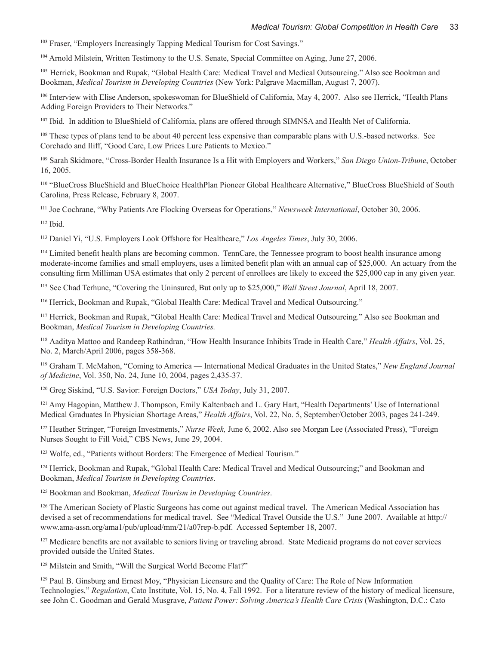<sup>103</sup> Fraser, "Employers Increasingly Tapping Medical Tourism for Cost Savings."

104 Arnold Milstein, Written Testimony to the U.S. Senate, Special Committee on Aging, June 27, 2006.

<sup>105</sup> Herrick, Bookman and Rupak, "Global Health Care: Medical Travel and Medical Outsourcing." Also see Bookman and Bookman, *Medical Tourism in Developing Countries* (New York: Palgrave Macmillan, August 7, 2007).

<sup>106</sup> Interview with Elise Anderson, spokeswoman for BlueShield of California, May 4, 2007. Also see Herrick, "Health Plans Adding Foreign Providers to Their Networks."

<sup>107</sup> Ibid. In addition to BlueShield of California, plans are offered through SIMNSA and Health Net of California.

<sup>108</sup> These types of plans tend to be about 40 percent less expensive than comparable plans with U.S.-based networks. See Corchado and Iliff, "Good Care, Low Prices Lure Patients to Mexico."

<sup>109</sup> Sarah Skidmore, "Cross-Border Health Insurance Is a Hit with Employers and Workers," *San Diego Union-Tribune*, October 16, 2005.

<sup>110</sup> "BlueCross BlueShield and BlueChoice HealthPlan Pioneer Global Healthcare Alternative," BlueCross BlueShield of South Carolina, Press Release, February 8, 2007.

<sup>111</sup> Joe Cochrane, "Why Patients Are Flocking Overseas for Operations," *Newsweek International*, October 30, 2006.

112 Ibid.

<sup>113</sup> Daniel Yi, "U.S. Employers Look Offshore for Healthcare," *Los Angeles Times*, July 30, 2006.

<sup>114</sup> Limited benefit health plans are becoming common. TennCare, the Tennessee program to boost health insurance among moderate-income families and small employers, uses a limited benefit plan with an annual cap of \$25,000. An actuary from the consulting firm Milliman USA estimates that only 2 percent of enrollees are likely to exceed the \$25,000 cap in any given year.

<sup>115</sup> See Chad Terhune, "Covering the Uninsured, But only up to \$25,000," *Wall Street Journal*, April 18, 2007.

<sup>116</sup> Herrick, Bookman and Rupak, "Global Health Care: Medical Travel and Medical Outsourcing."

<sup>117</sup> Herrick, Bookman and Rupak, "Global Health Care: Medical Travel and Medical Outsourcing." Also see Bookman and Bookman, *Medical Tourism in Developing Countries.*

<sup>118</sup>Aaditya Mattoo and Randeep Rathindran, "How Health Insurance Inhibits Trade in Health Care," *Health Affairs*, Vol. 25, No. 2, March/April 2006, pages 358-368.

<sup>119</sup> Graham T. McMahon, "Coming to America — International Medical Graduates in the United States," *New England Journal of Medicine*, Vol. 350, No. 24, June 10, 2004, pages 2,435-37.

<sup>120</sup> Greg Siskind, "U.S. Savior: Foreign Doctors," *USA Today*, July 31, 2007.

<sup>121</sup> Amy Hagopian, Matthew J. Thompson, Emily Kaltenbach and L. Gary Hart, "Health Departments' Use of International Medical Graduates In Physician Shortage Areas," *Health Affairs*, Vol. 22, No. 5, September/October 2003, pages 241-249.

<sup>122</sup> Heather Stringer, "Foreign Investments," *Nurse Week,* June 6, 2002. Also see Morgan Lee (Associated Press), "Foreign Nurses Sought to Fill Void," CBS News, June 29, 2004.

<sup>123</sup> Wolfe, ed., "Patients without Borders: The Emergence of Medical Tourism."

<sup>124</sup> Herrick, Bookman and Rupak, "Global Health Care: Medical Travel and Medical Outsourcing;" and Bookman and Bookman, *Medical Tourism in Developing Countries*.

125 Bookman and Bookman, *Medical Tourism in Developing Countries*.

<sup>126</sup> The American Society of Plastic Surgeons has come out against medical travel. The American Medical Association has devised a set of recommendations for medical travel. See "Medical Travel Outside the U.S." June 2007. Available at http:// www.ama-assn.org/ama1/pub/upload/mm/21/a07rep-b.pdf. Accessed September 18, 2007.

<sup>127</sup> Medicare benefits are not available to seniors living or traveling abroad. State Medicaid programs do not cover services provided outside the United States.

<sup>128</sup> Milstein and Smith, "Will the Surgical World Become Flat?"

<sup>129</sup> Paul B. Ginsburg and Ernest Moy, "Physician Licensure and the Quality of Care: The Role of New Information Technologies," *Regulation*, Cato Institute, Vol. 15, No. 4, Fall 1992. For a literature review of the history of medical licensure, see John C. Goodman and Gerald Musgrave, *Patient Power: Solving America's Health Care Crisis* (Washington, D.C.: Cato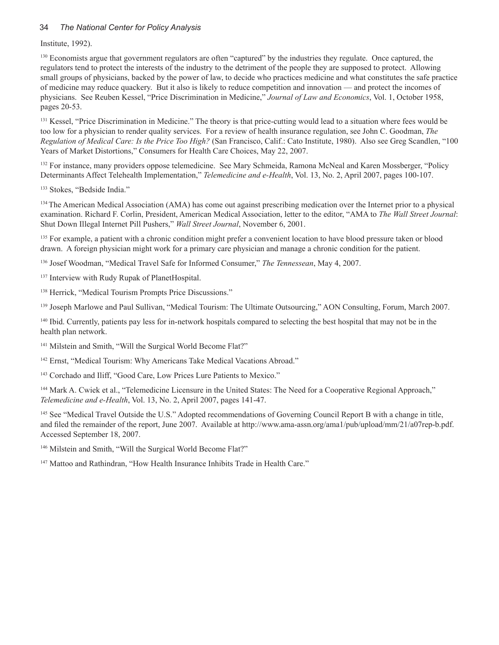#### 34 *The National Center for Policy Analysis*

Institute, 1992).

<sup>130</sup> Economists argue that government regulators are often "captured" by the industries they regulate. Once captured, the regulators tend to protect the interests of the industry to the detriment of the people they are supposed to protect. Allowing small groups of physicians, backed by the power of law, to decide who practices medicine and what constitutes the safe practice of medicine may reduce quackery. But it also is likely to reduce competition and innovation — and protect the incomes of physicians. See Reuben Kessel, "Price Discrimination in Medicine," *Journal of Law and Economics*, Vol. 1, October 1958, pages 20-53.

<sup>131</sup> Kessel, "Price Discrimination in Medicine." The theory is that price-cutting would lead to a situation where fees would be too low for a physician to render quality services. For a review of health insurance regulation, see John C. Goodman, *The Regulation of Medical Care: Is the Price Too High?* (San Francisco, Calif.: Cato Institute, 1980). Also see Greg Scandlen, "100 Years of Market Distortions," Consumers for Health Care Choices, May 22, 2007.

<sup>132</sup> For instance, many providers oppose telemedicine. See Mary Schmeida, Ramona McNeal and Karen Mossberger, "Policy Determinants Affect Telehealth Implementation," *Telemedicine and e-Health*, Vol. 13, No. 2, April 2007, pages 100-107.

<sup>133</sup> Stokes, "Bedside India."

<sup>134</sup> The American Medical Association (AMA) has come out against prescribing medication over the Internet prior to a physical examination. Richard F. Corlin, President, American Medical Association, letter to the editor, "AMA to *The Wall Street Journal*: Shut Down Illegal Internet Pill Pushers," *Wall Street Journal*, November 6, 2001.

<sup>135</sup> For example, a patient with a chronic condition might prefer a convenient location to have blood pressure taken or blood drawn. A foreign physician might work for a primary care physician and manage a chronic condition for the patient.

<sup>136</sup> Josef Woodman, "Medical Travel Safe for Informed Consumer," *The Tennessean*, May 4, 2007.

<sup>137</sup> Interview with Rudy Rupak of PlanetHospital.

<sup>138</sup> Herrick, "Medical Tourism Prompts Price Discussions."

<sup>139</sup> Joseph Marlowe and Paul Sullivan, "Medical Tourism: The Ultimate Outsourcing," AON Consulting, Forum, March 2007.

<sup>140</sup> Ibid. Currently, patients pay less for in-network hospitals compared to selecting the best hospital that may not be in the health plan network.

<sup>141</sup> Milstein and Smith, "Will the Surgical World Become Flat?"

<sup>142</sup> Ernst, "Medical Tourism: Why Americans Take Medical Vacations Abroad."

<sup>143</sup> Corchado and Iliff, "Good Care, Low Prices Lure Patients to Mexico."

<sup>144</sup> Mark A. Cwiek et al., "Telemedicine Licensure in the United States: The Need for a Cooperative Regional Approach," *Telemedicine and e-Health*, Vol. 13, No. 2, April 2007, pages 141-47.

<sup>145</sup> See "Medical Travel Outside the U.S." Adopted recommendations of Governing Council Report B with a change in title, and filed the remainder of the report, June 2007. Available at http://www.ama-assn.org/ama1/pub/upload/mm/21/a07rep-b.pdf. Accessed September 18, 2007.

<sup>146</sup> Milstein and Smith, "Will the Surgical World Become Flat?"

<sup>147</sup> Mattoo and Rathindran, "How Health Insurance Inhibits Trade in Health Care."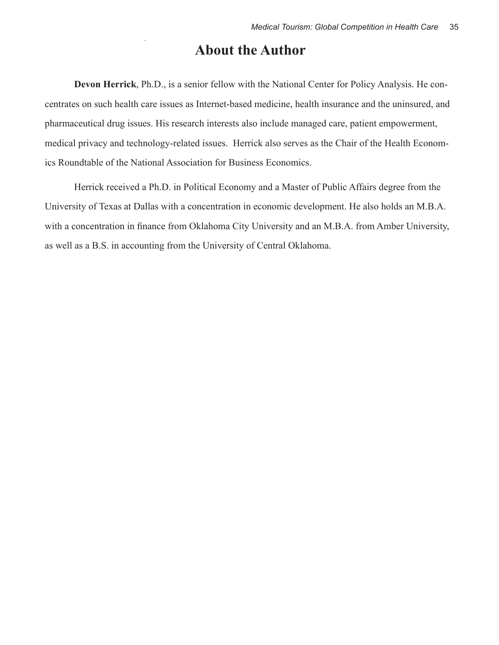### **About the Author**

**Devon Herrick**, Ph.D., is a senior fellow with the National Center for Policy Analysis. He concentrates on such health care issues as Internet-based medicine, health insurance and the uninsured, and pharmaceutical drug issues. His research interests also include managed care, patient empowerment, medical privacy and technology-related issues. Herrick also serves as the Chair of the Health Economics Roundtable of the National Association for Business Economics.

Herrick received a Ph.D. in Political Economy and a Master of Public Affairs degree from the University of Texas at Dallas with a concentration in economic development. He also holds an M.B.A. with a concentration in finance from Oklahoma City University and an M.B.A. from Amber University, as well as a B.S. in accounting from the University of Central Oklahoma.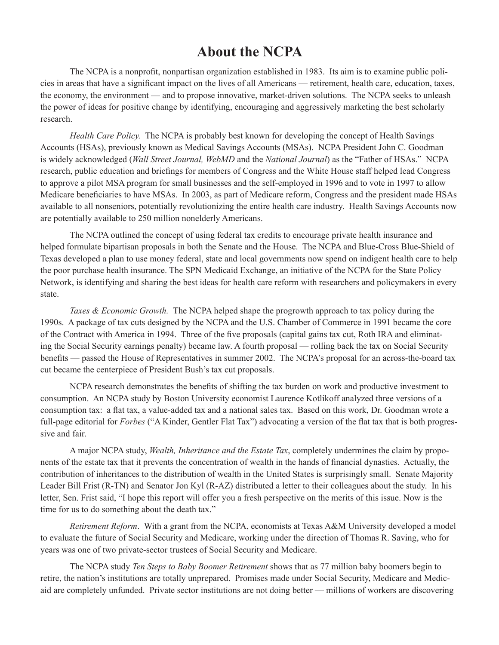### **About the NCPA**

The NCPA is a nonprofit, nonpartisan organization established in 1983. Its aim is to examine public policies in areas that have a significant impact on the lives of all Americans — retirement, health care, education, taxes, the economy, the environment — and to propose innovative, market-driven solutions. The NCPA seeks to unleash the power of ideas for positive change by identifying, encouraging and aggressively marketing the best scholarly research.

*Health Care Policy.* The NCPA is probably best known for developing the concept of Health Savings Accounts (HSAs), previously known as Medical Savings Accounts (MSAs). NCPA President John C. Goodman is widely acknowledged (*Wall Street Journal, WebMD* and the *National Journal*) as the "Father of HSAs." NCPA research, public education and briefings for members of Congress and the White House staff helped lead Congress to approve a pilot MSA program for small businesses and the self-employed in 1996 and to vote in 1997 to allow Medicare beneficiaries to have MSAs. In 2003, as part of Medicare reform, Congress and the president made HSAs available to all nonseniors, potentially revolutionizing the entire health care industry. Health Savings Accounts now are potentially available to 250 million nonelderly Americans.

The NCPA outlined the concept of using federal tax credits to encourage private health insurance and helped formulate bipartisan proposals in both the Senate and the House. The NCPA and Blue-Cross Blue-Shield of Texas developed a plan to use money federal, state and local governments now spend on indigent health care to help the poor purchase health insurance. The SPN Medicaid Exchange, an initiative of the NCPA for the State Policy Network, is identifying and sharing the best ideas for health care reform with researchers and policymakers in every state.

*Taxes & Economic Growth.* The NCPA helped shape the progrowth approach to tax policy during the 1990s. A package of tax cuts designed by the NCPA and the U.S. Chamber of Commerce in 1991 became the core of the Contract with America in 1994. Three of the five proposals (capital gains tax cut, Roth IRA and eliminating the Social Security earnings penalty) became law. A fourth proposal — rolling back the tax on Social Security benefits — passed the House of Representatives in summer 2002. The NCPA's proposal for an across-the-board tax cut became the centerpiece of President Bush's tax cut proposals.

NCPA research demonstrates the benefits of shifting the tax burden on work and productive investment to consumption. An NCPA study by Boston University economist Laurence Kotlikoff analyzed three versions of a consumption tax: a flat tax, a value-added tax and a national sales tax. Based on this work, Dr. Goodman wrote a full-page editorial for *Forbes* ("A Kinder, Gentler Flat Tax") advocating a version of the flat tax that is both progressive and fair.

A major NCPA study, *Wealth, Inheritance and the Estate Tax*, completely undermines the claim by proponents of the estate tax that it prevents the concentration of wealth in the hands of financial dynasties. Actually, the contribution of inheritances to the distribution of wealth in the United States is surprisingly small. Senate Majority Leader Bill Frist (R-TN) and Senator Jon Kyl (R-AZ) distributed a letter to their colleagues about the study. In his letter, Sen. Frist said, "I hope this report will offer you a fresh perspective on the merits of this issue. Now is the time for us to do something about the death tax."

*Retirement Reform*. With a grant from the NCPA, economists at Texas A&M University developed a model to evaluate the future of Social Security and Medicare, working under the direction of Thomas R. Saving, who for years was one of two private-sector trustees of Social Security and Medicare.

The NCPA study *Ten Steps to Baby Boomer Retirement* shows that as 77 million baby boomers begin to retire, the nation's institutions are totally unprepared. Promises made under Social Security, Medicare and Medicaid are completely unfunded. Private sector institutions are not doing better — millions of workers are discovering